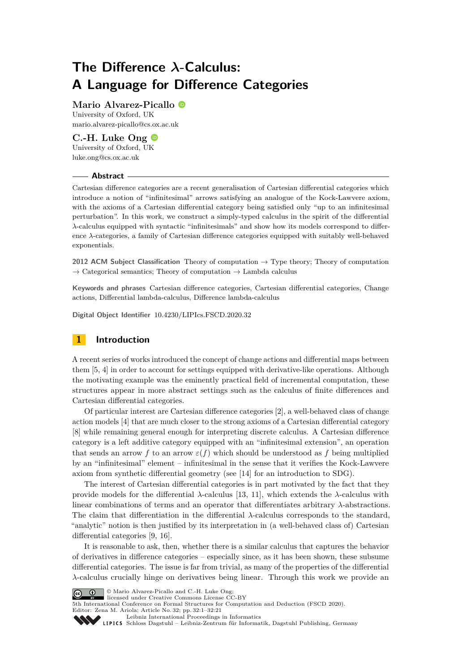# **The Difference** *λ***-Calculus: A Language for Difference Categories**

# **Mario Alvarez-Picallo**

University of Oxford, UK [mario.alvarez-picallo@cs.ox.ac.uk](mailto:mario.alvarez-picallo@cs.ox.ac.uk)

# **C.-H. Luke Ong** University of Oxford, UK [luke.ong@cs.ox.ac.uk](mailto:luke.ong@cs.ox.ac.uk)

## **Abstract**

Cartesian difference categories are a recent generalisation of Cartesian differential categories which introduce a notion of "infinitesimal" arrows satisfying an analogue of the Kock-Lawvere axiom, with the axioms of a Cartesian differential category being satisfied only "up to an infinitesimal perturbation". In this work, we construct a simply-typed calculus in the spirit of the differential *λ*-calculus equipped with syntactic "infinitesimals" and show how its models correspond to difference  $\lambda$ -categories, a family of Cartesian difference categories equipped with suitably well-behaved exponentials.

**2012 ACM Subject Classification** Theory of computation → Type theory; Theory of computation  $\rightarrow$  Categorical semantics; Theory of computation  $\rightarrow$  Lambda calculus

**Keywords and phrases** Cartesian difference categories, Cartesian differential categories, Change actions, Differential lambda-calculus, Difference lambda-calculus

**Digital Object Identifier** [10.4230/LIPIcs.FSCD.2020.32](https://doi.org/10.4230/LIPIcs.FSCD.2020.32)

# **1 Introduction**

A recent series of works introduced the concept of change actions and differential maps between them [\[5,](#page-14-0) [4\]](#page-14-1) in order to account for settings equipped with derivative-like operations. Although the motivating example was the eminently practical field of incremental computation, these structures appear in more abstract settings such as the calculus of finite differences and Cartesian differential categories.

Of particular interest are Cartesian difference categories [\[2\]](#page-14-2), a well-behaved class of change action models [\[4\]](#page-14-1) that are much closer to the strong axioms of a Cartesian differential category [\[8\]](#page-14-3) while remaining general enough for interpreting discrete calculus. A Cartesian difference category is a left additive category equipped with an "infinitesimal extension", an operation that sends an arrow *f* to an arrow  $\varepsilon(f)$  which should be understood as *f* being multiplied by an "infinitesimal" element – infinitesimal in the sense that it verifies the Kock-Lawvere axiom from synthetic differential geometry (see [\[14\]](#page-15-0) for an introduction to SDG).

The interest of Cartesian differential categories is in part motivated by the fact that they provide models for the differential  $\lambda$ -calculus [\[13,](#page-15-1) [11\]](#page-15-2), which extends the  $\lambda$ -calculus with linear combinations of terms and an operator that differentiates arbitrary *λ*-abstractions. The claim that differentiation in the differential *λ*-calculus corresponds to the standard, "analytic" notion is then justified by its interpretation in (a well-behaved class of) Cartesian differential categories [\[9,](#page-15-3) [16\]](#page-15-4).

It is reasonable to ask, then, whether there is a similar calculus that captures the behavior of derivatives in difference categories – especially since, as it has been shown, these subsume differential categories. The issue is far from trivial, as many of the properties of the differential *λ*-calculus crucially hinge on derivatives being linear. Through this work we provide an



**C**  $\bullet$   $\bullet$  Mario Alvarez-Picallo and C.-H. Luke Ong; licensed under Creative Commons License CC-BY

5th International Conference on Formal Structures for Computation and Deduction (FSCD 2020). Editor: Zena M. Ariola; Article No. 32; pp. 32:1–32[:21](#page-20-0)

[Leibniz International Proceedings in Informatics](https://www.dagstuhl.de/lipics/)

Leibniz international riveredings in miximetrix<br>
LIPICS [Schloss Dagstuhl – Leibniz-Zentrum für Informatik, Dagstuhl Publishing, Germany](https://www.dagstuhl.de)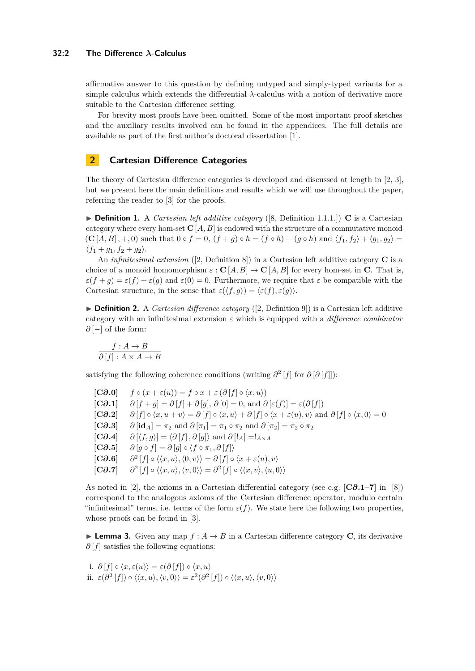## **32:2 The Difference** *λ***-Calculus**

affirmative answer to this question by defining untyped and simply-typed variants for a simple calculus which extends the differential *λ*-calculus with a notion of derivative more suitable to the Cartesian difference setting.

For brevity most proofs have been omitted. Some of the most important proof sketches and the auxiliary results involved can be found in the appendices. The full details are available as part of the first author's doctoral dissertation [\[1\]](#page-14-4).

# **2 Cartesian Difference Categories**

The theory of Cartesian difference categories is developed and discussed at length in [\[2,](#page-14-2) [3\]](#page-14-5), but we present here the main definitions and results which we will use throughout the paper, referring the reader to [\[3\]](#page-14-5) for the proofs.

 $\triangleright$  **Definition 1.** A *Cartesian left additive category* ([\[8,](#page-14-3) Definition 1.1.1.]) **C** is a Cartesian category where every hom-set  $C[A, B]$  is endowed with the structure of a commutative monoid  $({\bf C}[A, B], +, 0)$  such that  $0 \circ f = 0$ ,  $(f + g) \circ h = (f \circ h) + (g \circ h)$  and  $\langle f_1, f_2 \rangle + \langle g_1, g_2 \rangle =$  $\langle f_1 + g_1, f_2 + g_2 \rangle$ .

An *infinitesimal extension* ([\[2,](#page-14-2) Definition 8]) in a Cartesian left additive category **C** is a choice of a monoid homomorphism  $\varepsilon$  :  $\mathbf{C}[A, B] \to \mathbf{C}[A, B]$  for every hom-set in **C**. That is,  $\varepsilon(f+g) = \varepsilon(f) + \varepsilon(g)$  and  $\varepsilon(0) = 0$ . Furthermore, we require that  $\varepsilon$  be compatible with the Cartesian structure, in the sense that  $\varepsilon(\langle f, g \rangle) = \langle \varepsilon(f), \varepsilon(g) \rangle$ .

▶ **Definition 2.** A *Cartesian difference category* ([\[2,](#page-14-2) Definition 9]) is a Cartesian left additive category with an infinitesimal extension *ε* which is equipped with a *difference combinator ∂* [−] of the form:

$$
\frac{f:A \to B}{\partial [f]: A \times A \to B}
$$

satisfying the following coherence conditions (writing  $\partial^2 |f|$  for  $\partial [\partial [f]]$ ):

<span id="page-1-1"></span> $[\mathbf{C}\partial \cdot \mathbf{0}]$   $f \circ (x + \varepsilon(u)) = f \circ x + \varepsilon(\partial [f] \circ \langle x, u \rangle)$  $[\mathbf{C}\partial \cdot \mathbf{1}]$   $\partial [f+q] = \partial [f] + \partial [q], \partial [0] = 0$ , and  $\partial [\varepsilon(f)] = \varepsilon(\partial [f])$ **[C** $\partial \Omega$ **.2]**  $\partial [f] \circ \langle x, u + v \rangle = \partial [f] \circ \langle x, u \rangle + \partial [f] \circ \langle x + \varepsilon(u), v \rangle$  and  $\partial [f] \circ \langle x, 0 \rangle = 0$ **[C** $\partial$ **.3]**  $\partial$  **[id**<sub>*A*</sub>] =  $\pi_2$  and  $\partial$   $[\pi_1] = \pi_1 \circ \pi_2$  and  $\partial$   $[\pi_2] = \pi_2 \circ \pi_2$  $[\mathbf{C}\partial \cdot \mathbf{A}]$   $\partial [\langle f, g \rangle] = \langle \partial [f], \partial [g] \rangle$  and  $\partial [I_A] = I_{A \times A}$  $[\mathbf{C}\partial \cdot \mathbf{5}]$   $\partial [g \circ f] = \partial [g] \circ \langle f \circ \pi_1, \partial [f] \rangle$ **[C***∂***.6]** *∂*  $\langle f | f | \circ \langle \langle x, u \rangle, \langle 0, v \rangle \rangle = \partial [f] \circ \langle x + \varepsilon(u), v \rangle$ **[C***∂***.7]** *∂*  $\langle \langle x, u \rangle, \langle v, 0 \rangle \rangle = \partial^2 [f] \circ \langle \langle x, v \rangle, \langle u, 0 \rangle \rangle$ 

As noted in [\[2\]](#page-14-2), the axioms in a Cartesian differential category (see e.g. **[C***∂***.1–7]** in [\[8\]](#page-14-3)) correspond to the analogous axioms of the Cartesian difference operator, modulo certain "infinitesimal" terms, i.e. terms of the form  $\varepsilon(f)$ . We state here the following two properties, whose proofs can be found in [\[3\]](#page-14-5).

<span id="page-1-0"></span>**Lemma 3.** Given any map  $f : A \to B$  in a Cartesian difference category **C**, its derivative *∂* [*f*] satisfies the following equations:

i. 
$$
\partial [f] \circ \langle x, \varepsilon(u) \rangle = \varepsilon(\partial [f]) \circ \langle x, u \rangle
$$
  
ii.  $\varepsilon(\partial^2 [f]) \circ \langle \langle x, u \rangle, \langle v, 0 \rangle \rangle = \varepsilon^2(\partial^2 [f]) \circ \langle \langle x, u \rangle, \langle v, 0 \rangle \rangle$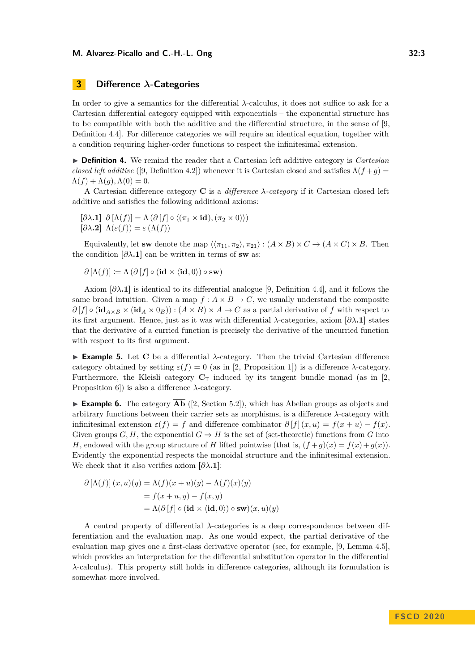# **3 Difference** *λ***-Categories**

In order to give a semantics for the differential *λ*-calculus, it does not suffice to ask for a Cartesian differential category equipped with exponentials – the exponential structure has to be compatible with both the additive and the differential structure, in the sense of [\[9,](#page-15-3) Definition 4.4]. For difference categories we will require an identical equation, together with a condition requiring higher-order functions to respect the infinitesimal extension.

▶ **Definition 4.** We remind the reader that a Cartesian left additive category is *Cartesian closed left additive* ([\[9,](#page-15-3) Definition 4.2]) whenever it is Cartesian closed and satisfies  $\Lambda(f+g)$  $\Lambda(f) + \Lambda(g)$ ,  $\Lambda(0) = 0$ .

A Cartesian difference category **C** is a *difference λ-category* if it Cartesian closed left additive and satisfies the following additional axioms:

<span id="page-2-0"></span> $[\partial \lambda \cdot \mathbf{1}]$   $\partial [\Lambda(f)] = \Lambda (\partial [f] \circ \langle (\pi_1 \times \mathbf{id}), (\pi_2 \times 0) \rangle)$ **[** $\partial \lambda$ **.2**]  $\Lambda(\varepsilon(f)) = \varepsilon(\Lambda(f))$ 

Equivalently, let **sw** denote the map  $\langle \langle \pi_{11}, \pi_2 \rangle, \pi_{21} \rangle : (A \times B) \times C \rightarrow (A \times C) \times B$ . Then the condition  $[\partial \lambda \cdot \mathbf{1}]$  can be written in terms of **sw** as:

$$
\partial [\Lambda(f)] \coloneqq \Lambda(\partial [f] \circ (\mathbf{id} \times \langle \mathbf{id}, 0 \rangle) \circ \mathbf{sw})
$$

Axiom **[***∂λ***[.1\]](#page-2-0)** is identical to its differential analogue [\[9,](#page-15-3) Definition 4.4], and it follows the same broad intuition. Given a map  $f : A \times B \to C$ , we usually understand the composite  $\partial [f] \circ (\mathbf{id}_{A \times B} \times (\mathbf{id}_{A} \times 0_{B})) : (A \times B) \times A \to C$  as a partial derivative of *f* with respect to its first argument. Hence, just as it was with differential *λ*-categories, axiom **[***∂λ***[.1\]](#page-2-0)** states that the derivative of a curried function is precisely the derivative of the uncurried function with respect to its first argument.

**Example 5.** Let **C** be a differential  $\lambda$ -category. Then the trivial Cartesian difference category obtained by setting  $\varepsilon(f) = 0$  (as in [\[2,](#page-14-2) Proposition 1]) is a difference  $\lambda$ -category. Furthermore, the Kleisli category  $C_T$  induced by its tangent bundle monad (as in [\[2,](#page-14-2) Proposition 6]) is also a difference *λ*-category.

**Example 6.** The category  $\overline{\mathbf{Ab}}$  ([\[2,](#page-14-2) Section 5.2]), which has Abelian groups as objects and arbitrary functions between their carrier sets as morphisms, is a difference *λ*-category with infinitesimal extension  $\varepsilon(f) = f$  and difference combinator  $\partial [f](x, u) = f(x + u) - f(x)$ . Given groups  $G, H$ , the exponential  $G \Rightarrow H$  is the set of (set-theoretic) functions from G into *H*, endowed with the group structure of *H* lifted pointwise (that is,  $(f+g)(x) = f(x) + g(x)$ ). Evidently the exponential respects the monoidal structure and the infinitesimal extension. We check that it also verifies axiom  $[\partial \lambda \cdot \mathbf{1}]$ :

$$
\partial [\Lambda(f)] (x, u)(y) = \Lambda(f)(x + u)(y) - \Lambda(f)(x)(y)
$$
  
=  $f(x + u, y) - f(x, y)$   
=  $\Lambda(\partial [f] \circ (\mathbf{id} \times \langle \mathbf{id}, 0 \rangle) \circ \mathbf{sw})(x, u)(y)$ 

A central property of differential *λ*-categories is a deep correspondence between differentiation and the evaluation map. As one would expect, the partial derivative of the evaluation map gives one a first-class derivative operator (see, for example, [\[9,](#page-15-3) Lemma 4.5], which provides an interpretation for the differential substitution operator in the differential *λ*-calculus). This property still holds in difference categories, although its formulation is somewhat more involved.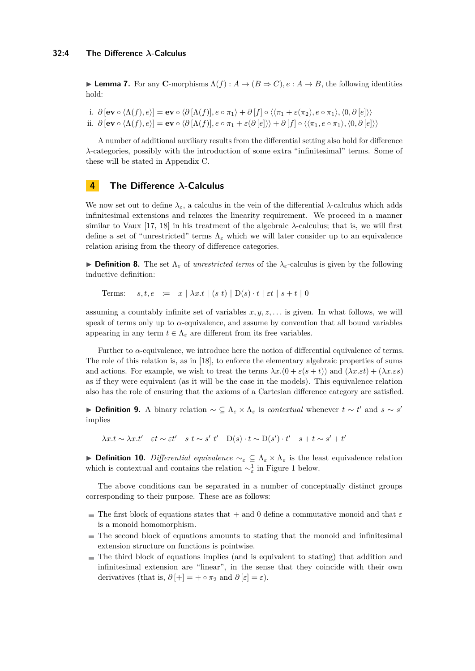**Lemma 7.** For any **C**-morphisms  $\Lambda(f) : A \to (B \Rightarrow C), e : A \to B$ , the following identities hold:

i.  $\partial [\mathbf{ev} \circ \langle \Lambda(f), e \rangle] = \mathbf{ev} \circ \langle \partial [\Lambda(f)], e \circ \pi_1 \rangle + \partial [f] \circ \langle \langle \pi_1 + \varepsilon(\pi_2), e \circ \pi_1 \rangle, \langle 0, \partial [e] \rangle \rangle$ ii.  $\partial [\mathbf{ev} \circ \langle \Lambda(f), e \rangle] = \mathbf{ev} \circ \langle \partial [\Lambda(f)], e \circ \pi_1 + \varepsilon(\partial [e]) \rangle + \partial [f] \circ \langle \langle \pi_1, e \circ \pi_1 \rangle, \langle 0, \partial [e] \rangle \rangle$ 

A number of additional auxiliary results from the differential setting also hold for difference *λ*-categories, possibly with the introduction of some extra "infinitesimal" terms. Some of these will be stated in Appendix [C.](#page-18-0)

# **4 The Difference** *λ***-Calculus**

We now set out to define  $\lambda_{\varepsilon}$ , a calculus in the vein of the differential  $\lambda$ -calculus which adds infinitesimal extensions and relaxes the linearity requirement. We proceed in a manner similar to Vaux [\[17,](#page-15-5) [18\]](#page-15-6) in his treatment of the algebraic  $\lambda$ -calculus; that is, we will first define a set of "unrestricted" terms  $\Lambda_{\varepsilon}$  which we will later consider up to an equivalence relation arising from the theory of difference categories.

**Definition 8.** The set  $\Lambda_{\varepsilon}$  of *unrestricted terms* of the  $\lambda_{\varepsilon}$ -calculus is given by the following inductive definition:

Terms:  $s, t, e \equiv x \mid \lambda x. t \mid (s \ t) \mid D(s) \cdot t \mid \varepsilon t \mid s+t \mid 0$ 

assuming a countably infinite set of variables  $x, y, z, \ldots$  is given. In what follows, we will speak of terms only up to  $\alpha$ -equivalence, and assume by convention that all bound variables appearing in any term  $t \in \Lambda_{\varepsilon}$  are different from its free variables.

Further to *α*-equivalence, we introduce here the notion of differential equivalence of terms. The role of this relation is, as in [\[18\]](#page-15-6), to enforce the elementary algebraic properties of sums and actions. For example, we wish to treat the terms  $\lambda x.(0 + \varepsilon (s + t))$  and  $(\lambda x. \varepsilon t) + (\lambda x. \varepsilon s)$ as if they were equivalent (as it will be the case in the models). This equivalence relation also has the role of ensuring that the axioms of a Cartesian difference category are satisfied.

**Definition 9.** A binary relation  $\sim \subseteq \Lambda_{\varepsilon} \times \Lambda_{\varepsilon}$  is *contextual* whenever  $t \sim t'$  and  $s \sim s'$ implies

 $\lambda x.t \sim \lambda x.t' \quad \varepsilon t \sim \varepsilon t' \quad s \ t \sim s' \ t' \quad D(s) \cdot t \sim D(s') \cdot t' \quad s + t \sim s' + t'$ 

<span id="page-3-0"></span>**Definition 10.** *Differential equivalence*  $\sim_{\varepsilon} \subseteq \Lambda_{\varepsilon} \times \Lambda_{\varepsilon}$  is the least equivalence relation which is contextual and contains the relation  $\sim_{\varepsilon}^1$  in Figure [1](#page-4-0) below.

The above conditions can be separated in a number of conceptually distinct groups corresponding to their purpose. These are as follows:

- The first block of equations states that  $+$  and 0 define a commutative monoid and that  $\varepsilon$ is a monoid homomorphism.
- $\blacksquare$  The second block of equations amounts to stating that the monoid and infinitesimal extension structure on functions is pointwise.
- $\blacksquare$  The third block of equations implies (and is equivalent to stating) that addition and infinitesimal extension are "linear", in the sense that they coincide with their own derivatives (that is,  $\partial$  [+] = + ∘  $\pi_2$  and  $\partial$  [ $\varepsilon$ ] =  $\varepsilon$ ).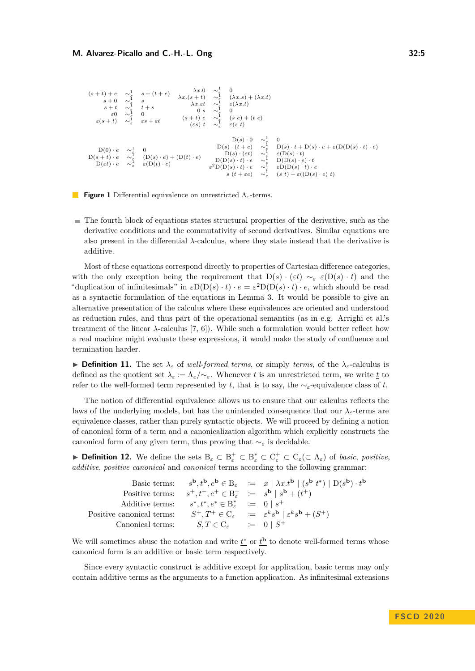```
\begin{array}{cccc} (s+t)+e & \sim_{\frac{1}{\epsilon}}^1 & s+(t+e) \\ s+0 & \sim_{\frac{1}{\epsilon}}^1 & s \\ s+t & \sim_{\frac{1}{\epsilon}}^1 & t+s \\ \varepsilon 0 & \sim_{\frac{1}{\epsilon}}^1 & 0 \\ \varepsilon (s+t) & \sim_{\varepsilon}^1 & \varepsilon s + \varepsilon t \end{array}λx.(s + t) ∼<sup>1</sup><sub>ε</sub> (λx.s) <br>
λx.εt ∼<sup>1</sup><sub>ε</sub> (λx.s)<br>
0 s ∼<sup>1</sup><sub>ε</sub> (s)<br>
(s + t) e ∼<sup>1</sup><sub>ε</sub> (s e)<br>
(εs) t ∼<sup>1</sup><sub>ε</sub> ε(s t)
                                                                                                                                                                                                      (\lambda x.s) + (\lambda x.t)ε(λx.t)
                                                                                                                                                                                                      (s e) + (t e)\begin{array}{ccc} \mathcal{D}(0) \cdot e & \sim_{\frac{1}{\mathbb{c}}}^1 & 0 \\ \mathcal{D}(s+t) \cdot e & \sim_{\frac{1}{\mathbb{c}}}^1 & (\mathcal{D}(s) \cdot e) + (\mathcal{D}(t) \cdot e) \\ \mathcal{D}(\varepsilon t) \cdot e & \sim_{\varepsilon}^1 & \varepsilon(\mathcal{D}(t) \cdot e) \end{array}D(s) \cdot 0 \sim_{\varepsilon}^1ε
                                                                                                                                                                                                                                                                          \OmegaD(s) \cdot (t + e) \sim_{\varepsilon}^1D(s) \cdot t + D(s) \cdot e + \varepsilon(D(D(s) \cdot t) \cdot e)D(s) \cdot (\varepsilon t) \quad \sim_{\varepsilon}^1\sim \frac{1}{2}<br>\approx \frac{1}{2}ε(D(s) · t)
                                                                                                                                                                                    D(D(s) \cdot t) \cdot e \quad \sim_{\varepsilon}^{\overline{1}}D(D(s) \cdot e) \cdot t\varepsilon^2 D(D(s) \cdot t) \cdot e \quad \sim_{\varepsilon}^1ε
                                                                                                                                                                                                                                                                          εD(D(s) · t) · e
                                                                                                                                                                                                   s (t + \varepsilon e) ∼<sup>1</sup>
                                                                                                                                                                                                                                                           ε
                                                                                                                                                                                                                                                                          (s t) + \varepsilon((\dot{D}(s) \cdot e) t)
```


 $\blacksquare$  The fourth block of equations states structural properties of the derivative, such as the derivative conditions and the commutativity of second derivatives. Similar equations are also present in the differential  $\lambda$ -calculus, where they state instead that the derivative is additive.

Most of these equations correspond directly to properties of Cartesian difference categories, with the only exception being the requirement that  $D(s) \cdot (\varepsilon t) \sim_{\varepsilon} \varepsilon(D(s) \cdot t)$  and the "duplication of infinitesimals" in  $\varepsilon D(D(s) \cdot t) \cdot e = \varepsilon^2 D(D(s) \cdot t) \cdot e$ , which should be read as a syntactic formulation of the equations in Lemma [3.](#page-1-0) It would be possible to give an alternative presentation of the calculus where these equivalences are oriented and understood as reduction rules, and thus part of the operational semantics (as in e.g. Arrighi et al.'s treatment of the linear  $\lambda$ -calculus [\[7,](#page-14-6) [6\]](#page-14-7)). While such a formulation would better reflect how a real machine might evaluate these expressions, it would make the study of confluence and termination harder.

**► Definition 11.** The set  $\lambda_{\varepsilon}$  of *well-formed terms*, or simply *terms*, of the  $\lambda_{\varepsilon}$ -calculus is defined as the quotient set  $\lambda_{\varepsilon} := \Lambda_{\varepsilon}/\sim_{\varepsilon}$ . Whenever t is an unrestricted term, we write <u>t</u> to refer to the well-formed term represented by *t*, that is to say, the  $\sim$ <sub>*ε*</sub>-equivalence class of *t*.

The notion of differential equivalence allows us to ensure that our calculus reflects the laws of the underlying models, but has the unintended consequence that our  $\lambda_{\varepsilon}$ -terms are equivalence classes, rather than purely syntactic objects. We will proceed by defining a notion of canonical form of a term and a canonicalization algorithm which explicitly constructs the canonical form of any given term, thus proving that  $\sim_{\varepsilon}$  is decidable.

**► Definition 12.** We define the sets  $B_\varepsilon \subset B_\varepsilon^+ \subset B_\varepsilon^* \subset C_\varepsilon^+ \subset C_\varepsilon(\subset \Lambda_\varepsilon)$  of *basic*, *positive*, *additive*, *positive canonical* and *canonical* terms according to the following grammar:

|                           |                                                                                                          | Basic terms: $s^{\mathbf{b}}, t^{\mathbf{b}}, e^{\mathbf{b}} \in B_{\varepsilon} \ := x \mid \lambda x . t^{\mathbf{b}} \mid (s^{\mathbf{b}} \ t^*) \mid D(s^{\mathbf{b}}) \cdot t^{\mathbf{b}}$ |
|---------------------------|----------------------------------------------------------------------------------------------------------|--------------------------------------------------------------------------------------------------------------------------------------------------------------------------------------------------|
|                           | Positive terms: $s^+, t^+, e^+ \in \mathcal{B}_s^+ \coloneqq s^{\mathbf{b}} \mid s^{\mathbf{b}} + (t^+)$ |                                                                                                                                                                                                  |
|                           | Additive terms: $s^*, t^*, e^* \in B^*$ $\equiv 0 \mid s^+$                                              |                                                                                                                                                                                                  |
| Positive canonical terms: |                                                                                                          | $S^+, T^+ \in C_{\varepsilon} \quad := \quad \varepsilon^k s^{\mathbf{b}} \mid \varepsilon^k s^{\mathbf{b}} + (S^+)$                                                                             |
| Canonical terms:          | $S,T \in C_{\varepsilon} \qquad \coloneqq \quad 0 \mid S^+$                                              |                                                                                                                                                                                                  |

We will sometimes abuse the notation and write  $t^*$  or  $t^{\mathbf{b}}$  to denote well-formed terms whose canonical form is an additive or basic term respectively.

Since every syntactic construct is additive except for application, basic terms may only contain additive terms as the arguments to a function application. As infinitesimal extensions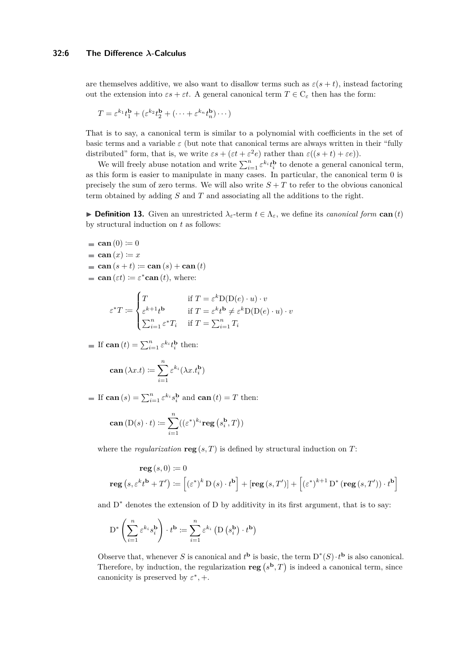are themselves additive, we also want to disallow terms such as  $\varepsilon(s + t)$ , instead factoring out the extension into  $\epsilon s + \epsilon t$ . A general canonical term  $T \in C_{\epsilon}$  then has the form:

$$
T = \varepsilon^{k_1} t_1^{\mathbf{b}} + (\varepsilon^{k_2} t_2^{\mathbf{b}} + (\dots + \varepsilon^{k_n} t_n^{\mathbf{b}}) \dots)
$$

That is to say, a canonical term is similar to a polynomial with coefficients in the set of basic terms and a variable  $\varepsilon$  (but note that canonical terms are always written in their "fully distributed" form, that is, we write  $\epsilon s + (\epsilon t + \epsilon^2 e)$  rather than  $\varepsilon((s+t) + \epsilon e)$ ).

We will freely abuse notation and write  $\sum_{i=1}^{n} \varepsilon^{k_i} t_i^{\mathbf{b}}$  to denote a general canonical term, as this form is easier to manipulate in many cases. In particular, the canonical term 0 is precisely the sum of zero terms. We will also write  $S + T$  to refer to the obvious canonical term obtained by adding *S* and *T* and associating all the additions to the right.

**► Definition 13.** Given an unrestricted  $\lambda$ <sup>*ε*</sup>-term  $t \in \Lambda$ <sup>*ε*</sup>, we define its *canonical form* **can** (*t*) by structural induction on *t* as follows:

- **can**  $(0) \coloneqq 0$
- **can**  $(x) \coloneqq x$
- $=$  **can**  $(s + t) \coloneqq$  **can**  $(s) +$  **can**  $(t)$
- **can** ( $\varepsilon t$ ) :=  $\varepsilon^*$ **can** (*t*), where:

$$
\varepsilon^* T \coloneqq \begin{cases} T & \text{if } T = \varepsilon^k \mathcal{D}(\mathcal{D}(e) \cdot u) \cdot v \\ \varepsilon^{k+1} t^{\mathbf{b}} & \text{if } T = \varepsilon^k t^{\mathbf{b}} \neq \varepsilon^k \mathcal{D}(\mathcal{D}(e) \cdot u) \cdot v \\ \sum_{i=1}^n \varepsilon^* T_i & \text{if } T = \sum_{i=1}^n T_i \end{cases}
$$

If  $\operatorname{can}(t) = \sum_{i=1}^n \varepsilon^{k_i} t_i^{\mathbf{b}}$  then:

$$
\operatorname{can}(\lambda x.t) \coloneqq \sum_{i=1}^n \varepsilon^{k_i}(\lambda x.t_i^{\mathbf{b}})
$$

If  $\operatorname{can}(s) = \sum_{i=1}^n \varepsilon^{k_i} s_i^{\mathbf{b}}$  and  $\operatorname{can}(t) = T$  then:

$$
\operatorname{can}(\operatorname{D}(s)\cdot t) \coloneqq \sum_{i=1}^n ((\varepsilon^*)^{k_i} \operatorname{reg}(s_i^{\mathbf{b}}, T))
$$

where the *regularization* **reg**  $(s, T)$  is defined by structural induction on *T*:

reg 
$$
(s, 0) := 0
$$
  
\nreg  $(s, \varepsilon^k t^b + T') := [(\varepsilon^*)^k D(s) \cdot t^b] + [\text{reg}(s, T')] + [(\varepsilon^*)^{k+1} D^* (\text{reg}(s, T')) \cdot t^b]$ 

and D<sup>∗</sup> denotes the extension of D by additivity in its first argument, that is to say:

$$
D^* \left( \sum_{i=1}^n \varepsilon^{k_i} s_i^{\mathbf{b}} \right) \cdot t^{\mathbf{b}} \coloneqq \sum_{i=1}^n \varepsilon^{k_i} \left( D \left( s_i^{\mathbf{b}} \right) \cdot t^{\mathbf{b}} \right)
$$

Observe that, whenever *S* is canonical and  $t^{\mathbf{b}}$  is basic, the term  $D^*(S) \cdot t^{\mathbf{b}}$  is also canonical. Therefore, by induction, the regularization  $reg(s^b, T)$  is indeed a canonical term, since canonicity is preserved by  $\varepsilon^*$ , +.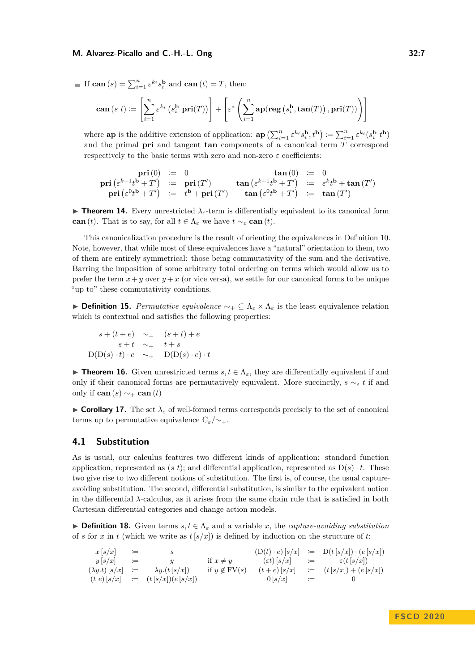**Example 11** If 
$$
\operatorname{can}(s) = \sum_{i=1}^n \varepsilon^{k_i} s_i^{\mathbf{b}}
$$
 and  $\operatorname{can}(t) = T$ , then:

$$
\mathbf{can}\left(s\ t\right)\coloneqq\left[\sum_{i=1}^{n}\varepsilon^{k_{i}}\left(s_{i}^{\mathbf{b}}\ \mathbf{pri}(T)\right)\right]+\left[\varepsilon^{*}\left(\sum_{i=1}^{n}\mathbf{ap}(\mathbf{reg}\left(s_{i}^{\mathbf{b}},\mathbf{tan}(T)\right),\mathbf{pri}(T))\right)\right]
$$

where **ap** is the additive extension of application:  $\mathbf{ap}(\sum_{i=1}^n \varepsilon^{k_i} s_i^{\mathbf{b}}, t^{\mathbf{b}}) := \sum_{i=1}^n \varepsilon^{k_i} (s_i^{\mathbf{b}} t^{\mathbf{b}})$ and the primal **pri** and tangent **tan** components of a canonical term *T* correspond respectively to the basic terms with zero and non-zero  $\varepsilon$  coefficients:

$$
\begin{array}{rcll} \textbf{pri}\left(0\right) & := & 0 & \textbf{tan}\left(0\right) & := & 0\\ \textbf{pri}\left(\varepsilon^{k+1}t^{\mathbf{b}}+T'\right) & := & \textbf{pri}\left(T'\right) & \textbf{tan}\left(\varepsilon^{k+1}t^{\mathbf{b}}+T'\right) & := & \varepsilon^k t^{\mathbf{b}}+\textbf{tan}\left(T'\right)\\ \textbf{pri}\left(\varepsilon^{0}t^{\mathbf{b}}+T'\right) & := & t^{\mathbf{b}}+\textbf{pri}\left(T'\right) & \textbf{tan}\left(\varepsilon^{0}t^{\mathbf{b}}+T'\right) & := & \textbf{tan}\left(T'\right)\\ \end{array}
$$

**Findmer 14.** Every unrestricted  $\lambda$ <sub>*ε*</sub>-term is differentially equivalent to its canonical form **can** (*t*). That is to say, for all  $t \in \Lambda_{\varepsilon}$  we have  $t \sim_{\varepsilon} \mathbf{can}(t)$ .

This canonicalization procedure is the result of orienting the equivalences in Definition [10.](#page-3-0) Note, however, that while most of these equivalences have a "natural" orientation to them, two of them are entirely symmetrical: those being commutativity of the sum and the derivative. Barring the imposition of some arbitrary total ordering on terms which would allow us to prefer the term  $x + y$  over  $y + x$  (or vice versa), we settle for our canonical forms to be unique "up to" these commutativity conditions.

**Definition 15.** *Permutative equivalence*  $\sim_+$  ⊆  $\Lambda_\varepsilon \times \Lambda_\varepsilon$  is the least equivalence relation which is contextual and satisfies the following properties:

$$
s + (t + e) \sim_{+} (s + t) + e
$$
  
\n
$$
s + t \sim_{+} t + s
$$
  
\n
$$
D(D(s) \cdot t) \cdot e \sim_{+} D(D(s) \cdot e) \cdot t
$$

**► Theorem 16.** Given unrestricted terms  $s, t \in \Lambda_{\epsilon}$ , they are differentially equivalent if and only if their canonical forms are permutatively equivalent. More succinctly,  $s \sim_{\varepsilon} t$  if and only if **can**  $(s) \sim_+$  **can**  $(t)$ 

**Corollary 17.** The set  $\lambda_{\varepsilon}$  of well-formed terms corresponds precisely to the set of canonical terms up to permutative equivalence  $C_{\varepsilon}/\sim$ +.

## **4.1 Substitution**

As is usual, our calculus features two different kinds of application: standard function application, represented as  $(s t)$ ; and differential application, represented as  $D(s) \cdot t$ . These two give rise to two different notions of substitution. The first is, of course, the usual captureavoiding substitution. The second, differential substitution, is similar to the equivalent notion in the differential *λ*-calculus, as it arises from the same chain rule that is satisfied in both Cartesian differential categories and change action models.

**► Definition 18.** Given terms  $s, t \in \Lambda_{\varepsilon}$  and a variable *x*, the *capture-avoiding substitution* of *s* for *x* in *t* (which we write as  $t[s/x]$ ) is defined by induction on the structure of *t*:

$$
\begin{array}{rclcrcl} x\left[s/x\right] & := & s & \left(\mathbf{D}(t)\cdot e\right)\left[s/x\right] & := & \mathbf{D}(t\left[s/x\right])\cdot\left(e\left[s/x\right]) \\ y\left[s/x\right] & := & y & \text{if } x\neq y & \left(\varepsilon t\right)\left[s/x\right] & := & \varepsilon\left(t\left[s/x\right]\right) \\ (\lambda y.t)\left[s/x\right] & := & \lambda y.\left(t\left[s/x\right]\right) & \text{if } y\not\in\mathrm{FV}(s) & \left(t+e\right)\left[s/x\right] & := & \left(t\left[s/x\right]\right)+\left(e\left[s/x\right]\right) \\ (t\ e)\left[s/x\right] & := & \left(t\left[s/x\right]\right)\left(e\left[s/x\right]\right) & \text{if } y\not\in\mathrm{FV}(s) & \left(0\left[s/x\right]\right) & := & 0 \end{array}
$$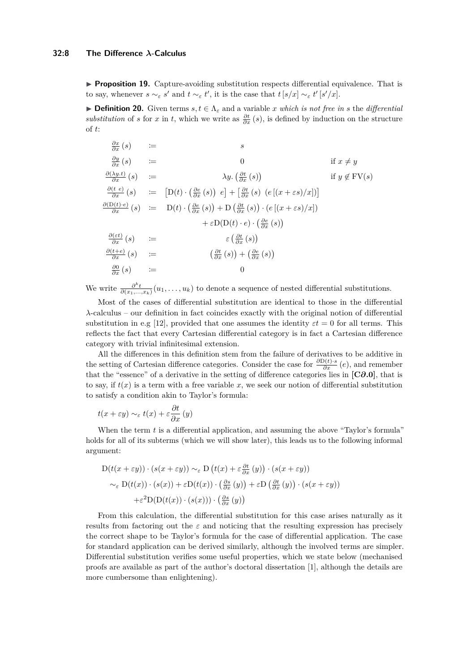**Proposition 19.** Capture-avoiding substitution respects differential equivalence. That is to say, whenever  $s \sim_{\varepsilon} s'$  and  $t \sim_{\varepsilon} t'$ , it is the case that  $t [s/x] \sim_{\varepsilon} t' [s'/x]$ .

**► Definition 20.** Given terms  $s, t \in \Lambda_{\varepsilon}$  and a variable *x* which is not free in *s* the differential *substitution* of *s* for *x* in *t*, which we write as  $\frac{\partial t}{\partial x}(s)$ , is defined by induction on the structure of *t*:

$$
\frac{\partial x}{\partial x}(s) := s
$$
\n
$$
\frac{\partial y}{\partial x}(s) := 0
$$
\nif  $x \neq y$   
\n
$$
\frac{\partial(\lambda y.t)}{\partial x}(s) := [D(t) \cdot (\frac{\partial e}{\partial x}(s)) e] + [\frac{\partial t}{\partial x}(s) (e[(x + \varepsilon s)/x])]
$$
\nif  $y \notin FV(s)$   
\n
$$
\frac{\partial(D(t) \cdot e)}{\partial x}(s) := D(t) \cdot (\frac{\partial e}{\partial x}(s)) + D(\frac{\partial t}{\partial x}(s)) \cdot (e[(x + \varepsilon s)/x])
$$
\n
$$
+ \varepsilon D(D(t) \cdot e) \cdot (\frac{\partial e}{\partial x}(s))
$$
\n
$$
\frac{\partial(\varepsilon t)}{\partial x}(s) := \varepsilon (\frac{\partial t}{\partial x}(s))
$$
\n
$$
\frac{\partial(t + e)}{\partial x}(s) := (\frac{\partial t}{\partial x}(s)) + (\frac{\partial e}{\partial x}(s))
$$
\n
$$
\frac{\partial(t + e)}{\partial x}(s) := 0
$$

We write  $\frac{\partial^k t}{\partial(x_1,\ldots,x_k)}(u_1,\ldots,u_k)$  to denote a sequence of nested differential substitutions.

Most of the cases of differential substitution are identical to those in the differential *λ*-calculus – our definition in fact coincides exactly with the original notion of differential substitution in e.g [\[12\]](#page-15-7), provided that one assumes the identity  $\varepsilon t = 0$  for all terms. This reflects the fact that every Cartesian differential category is in fact a Cartesian difference category with trivial infinitesimal extension.

All the differences in this definition stem from the failure of derivatives to be additive in the setting of Cartesian difference categories. Consider the case for  $\frac{\partial D(t) \cdot s}{\partial x}(e)$ , and remember that the "essence" of a derivative in the setting of difference categories lies in **[C***∂***[.0\]](#page-1-1)**, that is to say, if  $t(x)$  is a term with a free variable x, we seek our notion of differential substitution to satisfy a condition akin to Taylor's formula:

$$
t(x + \varepsilon y) \sim_{\varepsilon} t(x) + \varepsilon \frac{\partial t}{\partial x} (y)
$$

When the term *t* is a differential application, and assuming the above "Taylor's formula" holds for all of its subterms (which we will show later), this leads us to the following informal argument:

$$
D(t(x + \varepsilon y)) \cdot (s(x + \varepsilon y)) \sim_{\varepsilon} D(t(x) + \varepsilon \frac{\partial t}{\partial x}(y)) \cdot (s(x + \varepsilon y))
$$
  

$$
\sim_{\varepsilon} D(t(x)) \cdot (s(x)) + \varepsilon D(t(x)) \cdot (\frac{\partial s}{\partial x}(y)) + \varepsilon D(\frac{\partial t}{\partial x}(y)) \cdot (s(x + \varepsilon y))
$$
  

$$
+ \varepsilon^2 D(D(t(x)) \cdot (s(x))) \cdot (\frac{\partial s}{\partial x}(y))
$$

From this calculation, the differential substitution for this case arises naturally as it results from factoring out the  $\varepsilon$  and noticing that the resulting expression has precisely the correct shape to be Taylor's formula for the case of differential application. The case for standard application can be derived similarly, although the involved terms are simpler. Differential substitution verifies some useful properties, which we state below (mechanised proofs are available as part of the author's doctoral dissertation [\[1\]](#page-14-4), although the details are more cumbersome than enlightening).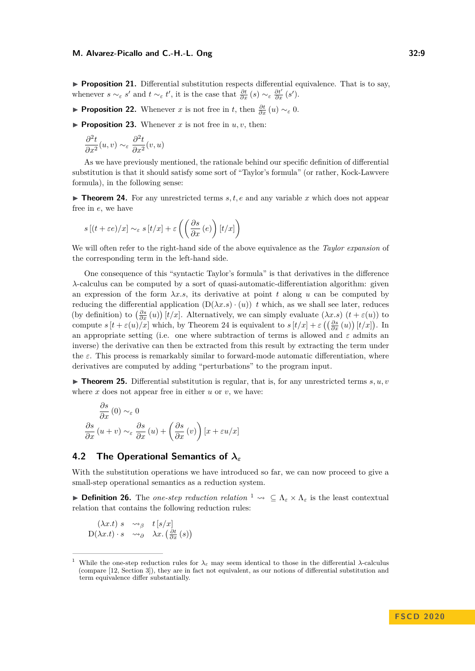**Proposition 21.** Differential substitution respects differential equivalence. That is to say, whenever  $s \sim_{\varepsilon} s'$  and  $t \sim_{\varepsilon} t'$ , it is the case that  $\frac{\partial t}{\partial x}(s) \sim_{\varepsilon} \frac{\partial t'}{\partial x}(s')$ .

- **► Proposition 22.** Whenever *x* is not free in *t*, then  $\frac{\partial t}{\partial x}(u) \sim_{\varepsilon} 0$ .
- **Proposition 23.** Whenever *x* is not free in  $u, v$ , then:

$$
\frac{\partial^2 t}{\partial x^2}(u,v) \sim_{\varepsilon} \frac{\partial^2 t}{\partial x^2}(v,u)
$$

As we have previously mentioned, the rationale behind our specific definition of differential substitution is that it should satisfy some sort of "Taylor's formula" (or rather, Kock-Lawvere formula), in the following sense:

<span id="page-8-0"></span>**Theorem 24.** For any unrestricted terms  $s, t, e$  and any variable  $x$  which does not appear free in *e*, we have

$$
s[(t+\varepsilon e)/x] \sim_{\varepsilon} s[t/x] + \varepsilon \left( \left( \frac{\partial s}{\partial x}(e) \right) [t/x] \right)
$$

We will often refer to the right-hand side of the above equivalence as the *Taylor expansion* of the corresponding term in the left-hand side.

One consequence of this "syntactic Taylor's formula" is that derivatives in the difference *λ*-calculus can be computed by a sort of quasi-automatic-differentiation algorithm: given an expression of the form  $\lambda x.s$ , its derivative at point *t* along *u* can be computed by reducing the differential application  $(D(\lambda x.s) \cdot (u))$  *t* which, as we shall see later, reduces (by definition) to  $\left(\frac{\partial s}{\partial x}(u)\right)[t/x]$ . Alternatively, we can simply evaluate  $(\lambda x.s)$   $(t + \varepsilon(u))$  to compute  $s[t + \varepsilon(u)/x]$  which, by Theorem [24](#page-8-0) is equivalent to  $s[t/x] + \varepsilon\left(\left(\frac{\partial s}{\partial x}(u)\right)[t/x]\right)$ . In an appropriate setting (i.e. one where subtraction of terms is allowed and  $\varepsilon$  admits an inverse) the derivative can then be extracted from this result by extracting the term under the *ε*. This process is remarkably similar to forward-mode automatic differentiation, where derivatives are computed by adding "perturbations" to the program input.

**Figurer 125.** Differential substitution is regular, that is, for any unrestricted terms  $s, u, v$ where  $x$  does not appear free in either  $u$  or  $v$ , we have:

$$
\frac{\partial s}{\partial x}(0) \sim_{\varepsilon} 0
$$

$$
\frac{\partial s}{\partial x}(u+v) \sim_{\varepsilon} \frac{\partial s}{\partial x}(u) + \left(\frac{\partial s}{\partial x}(v)\right)[x + \varepsilon u/x]
$$

## **4.2 The Operational Semantics of** *λ<sup>ε</sup>*

With the substitution operations we have introduced so far, we can now proceed to give a small-step operational semantics as a reduction system.

**► Definition 26.** The *one-step reduction relation*  $\frac{1}{2}$  $\frac{1}{2}$  $\frac{1}{2}$   $\sim$   $\subseteq$   $\Lambda_{\varepsilon} \times \Lambda_{\varepsilon}$  is the least contextual relation that contains the following reduction rules:

$$
\begin{array}{ccc} (\lambda x.t) \ s & \leadsto_{\beta} & t \ [s/x] \\ \mathcal{D}(\lambda x.t) \cdot s & \leadsto_{\partial} & \lambda x. \left(\frac{\partial t}{\partial x}(s)\right) \end{array}
$$

<span id="page-8-1"></span>While the one-step reduction rules for  $λ_ε$  may seem identical to those in the differential  $λ$ -calculus (compare [\[12,](#page-15-7) Section 3]), they are in fact not equivalent, as our notions of differential substitution and term equivalence differ substantially.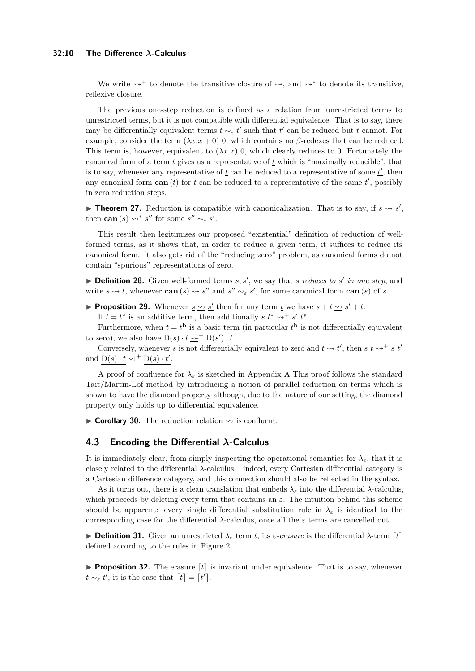#### **32:10 The Difference** *λ***-Calculus**

We write  $\rightsquigarrow^+$  to denote the transitive closure of  $\rightsquigarrow$ , and  $\rightsquigarrow^*$  to denote its transitive, reflexive closure.

The previous one-step reduction is defined as a relation from unrestricted terms to unrestricted terms, but it is not compatible with differential equivalence. That is to say, there may be differentially equivalent terms  $t \sim_{\varepsilon} t'$  such that  $t'$  can be reduced but  $t$  cannot. For example, consider the term  $(\lambda x.x + 0)$  0, which contains no  $\beta$ -redexes that can be reduced. This term is, however, equivalent to  $(\lambda x.x)$  0, which clearly reduces to 0. Fortunately the canonical form of a term *t* gives us a representative of *t* which is "maximally reducible", that is to say, whenever any representative of  $\underline{t}$  can be reduced to a representative of some  $\underline{t}'$ , then any canonical form  $\operatorname{can}(t)$  for  $t$  can be reduced to a representative of the same  $\underline{t}$ , possibly in zero reduction steps.

<span id="page-9-0"></span>**Theorem 27.** Reduction is compatible with canonicalization. That is to say, if  $s \rightarrow s'$ , then **can**  $(s) \rightsquigarrow^* s''$  for some  $s'' \sim_{\varepsilon} s'$ .

This result then legitimises our proposed "existential" definition of reduction of wellformed terms, as it shows that, in order to reduce a given term, it suffices to reduce its canonical form. It also gets rid of the "reducing zero" problem, as canonical forms do not contain "spurious" representations of zero.

**Definition 28.** Given well-formed terms  $\underline{s}, \underline{s'}$ , we say that  $\underline{s}$  *reduces to*  $\underline{s'}$  *in one step*, and write <u> $s \sim t$ </u>, whenever **can**  $(s) \sim s''$  and  $s'' \sim s'$ , for some canonical form **can**  $(s)$  of <u>s</u>.

**Proposition 29.** Whenever  $s \rightarrow s'$  then for any term *t* we have  $s + t \rightarrow s' + t$ . If  $t = t^*$  is an additive term, then additionally <u>s  $t^* \sim t^*$ </u>.

Furthermore, when  $t = t^{\mathbf{b}}$  is a basic term (in particular  $t^{\mathbf{b}}$  is not differentially equivalent to zero), we also have  $D(s) \cdot t \rightarrow b^+ D(s') \cdot t$ .

Conversely, whenever *s* is not differentially equivalent to zero and  $\underline{t} \rightarrow \underline{t}'$ , then <u>*s*</u>  $\underline{t} \rightarrow \underline{s} t'$ and  $D(s) \cdot t \underline{\leadsto}^+ D(s) \cdot t'.$ 

A proof of confluence for  $\lambda_{\varepsilon}$  is sketched in [A](#page-15-8)ppendix A This proof follows the standard Tait/Martin-Löf method by introducing a notion of parallel reduction on terms which is shown to have the diamond property although, due to the nature of our setting, the diamond property only holds up to differential equivalence.

 $\triangleright$  **Corollary 30.** The reduction relation  $\rightsquigarrow$  is confluent.

## **4.3 Encoding the Differential** *λ***-Calculus**

It is immediately clear, from simply inspecting the operational semantics for  $\lambda_{\varepsilon}$ , that it is closely related to the differential *λ*-calculus – indeed, every Cartesian differential category is a Cartesian difference category, and this connection should also be reflected in the syntax.

As it turns out, there is a clean translation that embeds  $\lambda_{\varepsilon}$  into the differential  $\lambda$ -calculus, which proceeds by deleting every term that contains an  $\varepsilon$ . The intuition behind this scheme should be apparent: every single differential substitution rule in  $\lambda_{\varepsilon}$  is identical to the corresponding case for the differential *λ*-calculus, once all the *ε* terms are cancelled out.

**Definition 31.** Given an unrestricted  $\lambda_{\varepsilon}$  term t, its  $\varepsilon$ -erasure is the differential  $\lambda$ -term [t] defined according to the rules in Figure [2.](#page-10-0)

**Proposition 32.** The erasure  $[t]$  is invariant under equivalence. That is to say, whenever  $t \sim_{\varepsilon} t'$ , it is the case that  $\lceil t \rceil = \lceil t' \rceil$ .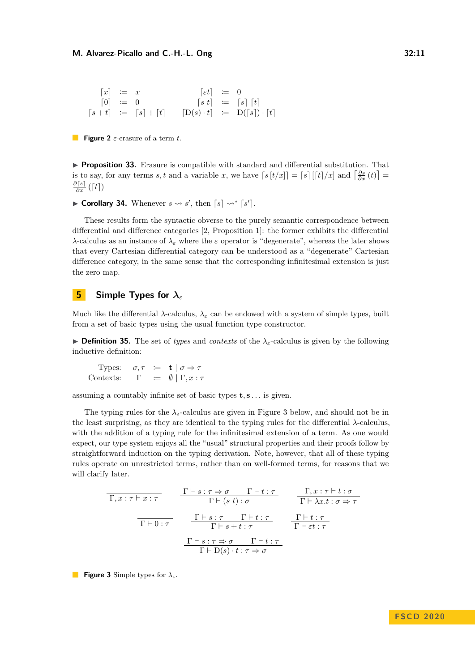<span id="page-10-0"></span>
$$
\begin{array}{rcl}\n[x] & := & x \\
[0] & := & 0 \\
[s+t] & := & [s] + [t] \\
[0, t] & := & [s] \times [t] \\
[x + t] & := & [s] + [t] \\
[0, t] & := & [s] \times [t] \\
[0, t] & := & [s] \times [t] \\
[0, t] & := & [s] \times [t] \\
[0, t] & := & [s] \times [t] \\
[0, t] & := & [s] \times [t] \\
[0, t] & := & [s] \times [t] \\
[0, t] & := & [s] \times [t] \\
[0, t] & := & [s] \times [t] \\
[0, t] & := & [s] \times [t] \\
[0, t] & := & [s] \times [t] \\
[0, t] & := & [s] \times [t] \\
[0, t] & := & [s] \times [t] \\
[0, t] & := & [s] \times [t] \\
[0, t] & := & [s] \times [t] \\
[0, t] & := & [s] \times [t] \\
[0, t] & := & [s] \times [t] \\
[0, t] & := & [s] \times [t] \\
[0, t] & := & [s] \times [t] \\
[0, t] & := & [s] \times [t] \\
[0, t] & := & [s] \times [t] \\
[0, t] & := & [s] \times [t] \\
[0, t] & := & [s] \times [t] \\
[0, t] & := & [s] \times [t] \\
[0, t] & := & [s] \times [t] \\
[0, t] & := & [s] \times [t] \\
[0, t] & := & [s] \times [t] \\
[0, t] & := & [s] \times [t] \\
[0, t] & := & [s] \times [t] \\
[0, t] & := & [s] \times [t] \\
[0, t] & := & [s] \times [t] \\
[0, t] & := & [s] \times [t] \\
[0, t] & := & [s] \times [
$$

**Figure 2** *ε*-erasure of a term *t*.

**Proposition 33.** Erasure is compatible with standard and differential substitution. That is to say, for any terms *s*, t and a variable x, we have  $\lceil s \lfloor t/x \rfloor = \lceil s \rceil \lfloor t \rceil / x \rfloor$  and  $\lceil \frac{\partial s}{\partial x}(t) \rceil =$ *∂*[s] ([t])

```
▶ Corollary 34. Whenever s \rightsquigarrow s', then \lceil s \rceil \rightsquigarrow^* \lceil s' \rceil.
```
These results form the syntactic obverse to the purely semantic correspondence between differential and difference categories [\[2,](#page-14-2) Proposition 1]: the former exhibits the differential *λ*-calculus as an instance of *λ<sup>ε</sup>* where the *ε* operator is "degenerate", whereas the later shows that every Cartesian differential category can be understood as a "degenerate" Cartesian difference category, in the same sense that the corresponding infinitesimal extension is just the zero map.

# **5 Simple Types for** *λ<sup>ε</sup>*

Much like the differential  $\lambda$ -calculus,  $\lambda_{\varepsilon}$  can be endowed with a system of simple types, built from a set of basic types using the usual function type constructor.

**Definition 35.** The set of *types* and *contexts* of the  $\lambda_{\varepsilon}$ -calculus is given by the following inductive definition:

Types:  $\sigma, \tau \coloneqq \mathbf{t} \mid \sigma \Rightarrow \tau$ Contexts:  $\Gamma \coloneqq \emptyset | \Gamma, x : \tau$ 

assuming a countably infinite set of basic types **t***,* **s** *. . .* is given.

The typing rules for the  $\lambda_{\varepsilon}$ -calculus are given in Figure [3](#page-10-1) below, and should not be in the least surprising, as they are identical to the typing rules for the differential *λ*-calculus, with the addition of a typing rule for the infinitesimal extension of a term. As one would expect, our type system enjoys all the "usual" structural properties and their proofs follow by straightforward induction on the typing derivation. Note, however, that all of these typing rules operate on unrestricted terms, rather than on well-formed terms, for reasons that we will clarify later.

<span id="page-10-1"></span>
$$
\frac{\Gamma+s:\tau \Rightarrow \sigma \qquad \Gamma \vdash t:\tau}{\Gamma \vdash (s t):\sigma} \qquad \frac{\Gamma,s:\tau \vdash t:\sigma}{\Gamma \vdash \lambda x.t:\sigma \Rightarrow \tau}
$$
\n
$$
\frac{\Gamma \vdash s:\tau \qquad \Gamma \vdash t:\tau}{\Gamma \vdash s+t:\tau} \qquad \frac{\Gamma \vdash t:\tau}{\Gamma \vdash \varepsilon t:\tau}
$$
\n
$$
\frac{\Gamma \vdash s:\tau \Rightarrow \sigma \qquad \Gamma \vdash t:\tau}{\Gamma \vdash D(s) \cdot t:\tau \Rightarrow \sigma}
$$

**Figure 3** Simple types for  $\lambda_{\varepsilon}$ .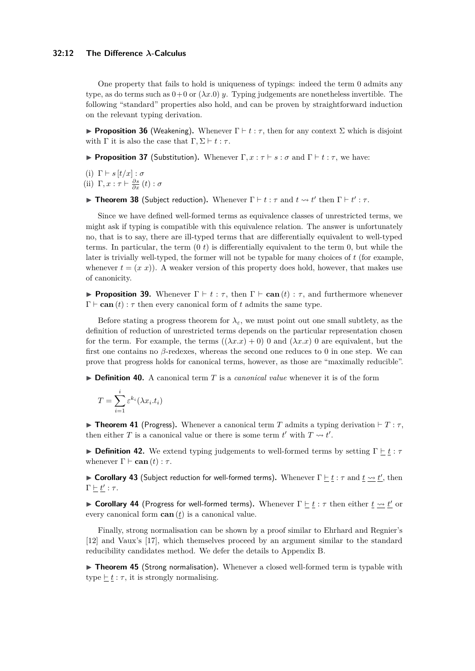#### **32:12 The Difference** *λ***-Calculus**

One property that fails to hold is uniqueness of typings: indeed the term 0 admits any type, as do terms such as  $0+0$  or  $(\lambda x.0)$  *y*. Typing judgements are nonetheless invertible. The following "standard" properties also hold, and can be proven by straightforward induction on the relevant typing derivation.

**Proposition 36** (Weakening). Whenever  $\Gamma \vdash t : \tau$ , then for any context  $\Sigma$  which is disjoint with  $\Gamma$  it is also the case that  $\Gamma, \Sigma \vdash t : \tau$ .

**Proposition 37** (Substitution). Whenever  $\Gamma, x : \tau \vdash s : \sigma$  and  $\Gamma \vdash t : \tau$ , we have:

(i)  $\Gamma \vdash s [t/x] : \sigma$ 

(ii)  $\Gamma, x : \tau \vdash \frac{\partial s}{\partial x}(t) : \sigma$ 

**Figure 10 Theorem 38** (Subject reduction). Whenever  $\Gamma \vdash t : \tau$  and  $t \leadsto t'$  then  $\Gamma \vdash t' : \tau$ .

Since we have defined well-formed terms as equivalence classes of unrestricted terms, we might ask if typing is compatible with this equivalence relation. The answer is unfortunately no, that is to say, there are ill-typed terms that are differentially equivalent to well-typed terms. In particular, the term (0 *t*) is differentially equivalent to the term 0, but while the later is trivially well-typed, the former will not be typable for many choices of *t* (for example, whenever  $t = (x, x)$ ). A weaker version of this property does hold, however, that makes use of canonicity.

**Proposition 39.** Whenever  $\Gamma \vdash t : \tau$ , then  $\Gamma \vdash \textbf{can}(t) : \tau$ , and furthermore whenever  $\Gamma \vdash \textbf{can}(t) : \tau$  then every canonical form of t admits the same type.

Before stating a progress theorem for  $\lambda_{\varepsilon}$ , we must point out one small subtlety, as the definition of reduction of unrestricted terms depends on the particular representation chosen for the term. For example, the terms  $((\lambda x.x) + 0)$  and  $(\lambda x.x)$  0 are equivalent, but the first one contains no *β*-redexes, whereas the second one reduces to 0 in one step. We can prove that progress holds for canonical terms, however, as those are "maximally reducible".

▶ **Definition 40.** A canonical term *T* is a *canonical value* whenever it is of the form

$$
T = \sum_{i=1}^{i} \varepsilon^{k_i} (\lambda x_i \cdot t_i)
$$

**Find Theorem 41** (Progress). Whenever a canonical term *T* admits a typing derivation  $\vdash T : \tau$ , then either *T* is a canonical value or there is some term  $t'$  with  $T \rightsquigarrow t'$ .

**Definition 42.** We extend typing judgements to well-formed terms by setting  $\Gamma \vdash t : \tau$ whenever  $\Gamma \vdash \textbf{can}(t) : \tau$ .

**► Corollary 43** (Subject reduction for well-formed terms). Whenever  $\Gamma \vdash t : \tau$  and  $t \rightarrow t'$ , then  $\Gamma \vdash t' : \tau.$ 

**Example 14** (Progress for well-formed terms). Whenever Γ  $\frac{\textbf{r}}{\textbf{r}}$  is *τ* then either  $\textbf{t} \rightarrow \textbf{t}'$  or every canonical form  $\operatorname{can}(t)$  is a canonical value.

Finally, strong normalisation can be shown by a proof similar to Ehrhard and Regnier's [\[12\]](#page-15-7) and Vaux's [\[17\]](#page-15-5), which themselves proceed by an argument similar to the standard reducibility candidates method. We defer the details to Appendix [B.](#page-17-0)

▶ **Theorem 45** (Strong normalisation). Whenever a closed well-formed term is typable with type  $\underline{\vdash} t : \tau$ , it is strongly normalising.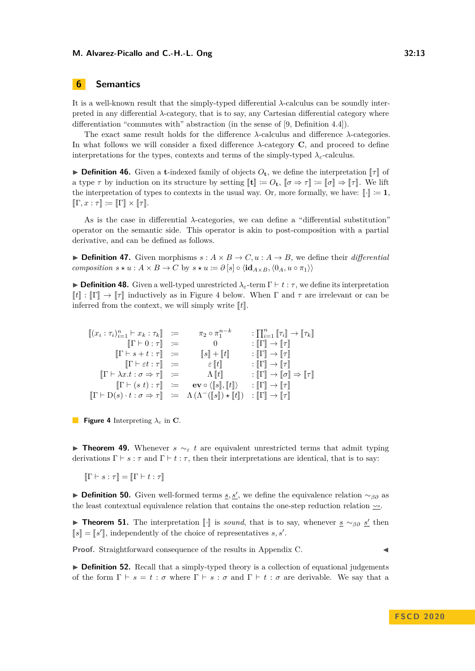# **6 Semantics**

It is a well-known result that the simply-typed differential *λ*-calculus can be soundly interpreted in any differential  $\lambda$ -category, that is to say, any Cartesian differential category where differentiation "commutes with" abstraction (in the sense of [\[9,](#page-15-3) Definition 4.4]).

The exact same result holds for the difference *λ*-calculus and difference *λ*-categories. In what follows we will consider a fixed difference *λ*-category **C**, and proceed to define interpretations for the types, contexts and terms of the simply-typed  $\lambda_{\varepsilon}$ -calculus.

**Definition 46.** Given a **t**-indexed family of objects  $O_t$ , we define the interpretation  $\llbracket \tau \rrbracket$  of a type  $\tau$  by induction on its structure by setting  $[\![\mathbf{t}]\!] := O_{\mathbf{t}}, [\![\sigma \Rightarrow \tau]\!] := [\![\sigma]\!] \Rightarrow [\![\tau]\!]$ . We lift the interpretation of types to contexts in the usual way. Or, more formally, we have:  $\llbracket \cdot \rrbracket := \mathbf{1}$ ,  $\llbracket \Gamma, x : \tau \rrbracket \coloneqq \llbracket \Gamma \rrbracket \times \llbracket \tau \rrbracket.$ 

As is the case in differential *λ*-categories, we can define a "differential substitution" operator on the semantic side. This operator is akin to post-composition with a partial derivative, and can be defined as follows.

<span id="page-12-1"></span> $\blacktriangleright$  **Definition 47.** Given morphisms  $s : A \times B \to C, u : A \to B$ , we define their *differential composition*  $s \star u : A \times B \to C$  by  $s \star u := \partial [s] \circ \langle id_{A \times B}, \langle 0_A, u \circ \pi_1 \rangle \rangle$ 

**Definition 48.** Given a well-typed unrestricted  $\lambda$ <sub>*ε*</sub>-term  $\Gamma \vdash t : \tau$ , we define its interpretation  $\llbracket t \rrbracket : \llbracket \Gamma \rrbracket \to \llbracket \tau \rrbracket$  inductively as in Figure [4](#page-12-0) below. When  $\Gamma$  and  $\tau$  are irrelevant or can be inferred from the context, we will simply write  $\llbracket t \rrbracket$ .

<span id="page-12-0"></span>
$$
\begin{array}{rcl}\n\left[ (x_i : \tau_i)_{i=1}^n \vdash x_k : \tau_k \right] & := & \pi_2 \circ \pi_1^{n-k} & : \prod_{i=1}^n \left[ \tau_i \right] \to \left[ \tau_k \right] \\
& \left[ \Gamma \vdash 0 : \tau \right] & := & 0 & : \left[ \Gamma \right] \to \left[ \tau \right] \\
\left[ \Gamma \vdash s + t : \tau \right] & := & \left[ s \right] + \left[ t \right] & : \left[ \Gamma \right] \to \left[ \tau \right] \\
\left[ \Gamma \vdash \varepsilon t : \tau \right] & := & \varepsilon \left[ t \right] & : \left[ \Gamma \right] \to \left[ \tau \right] \\
\left[ \Gamma \vdash \lambda x . t : \sigma \Rightarrow \tau \right] & := & \Lambda \left[ t \right] & : \left[ \Gamma \right] \to \left[ \sigma \right] \Rightarrow \left[ \tau \right] \\
\left[ \Gamma \vdash (s \ t) : \tau \right] & := & \mathbf{e} \mathbf{v} \circ \left( \left[ s \right], \left[ t \right] \right\rangle & : \left[ \Gamma \right] \to \left[ \tau \right] \\
\left[ \Gamma \vdash \mathbf{D} (s) \cdot t : \sigma \Rightarrow \tau \right] & := & \Lambda \left( \Lambda^{-} \left( \left[ s \right] \right) \star \left[ t \right] \right) & : \left[ \Gamma \right] \to \left[ \tau \right]\n\end{array}
$$

**Figure 4** Interpreting *λ<sup>ε</sup>* in **C**.

**Find Theorem 49.** Whenever  $s \sim_{\varepsilon} t$  are equivalent unrestricted terms that admit typing derivations  $\Gamma \vdash s : \tau$  and  $\Gamma \vdash t : \tau$ , then their interpretations are identical, that is to say:

 $\Vert \Gamma \vdash s : \tau \Vert = \Vert \Gamma \vdash t : \tau \Vert$ 

**Definition 50.** Given well-formed terms <u>*s*, *s'*</u>, we define the equivalence relation  $\sim_{\beta\partial}$  as the least contextual equivalence relation that contains the one-step reduction relation  $\sim$ .

**Frame 51.** The interpretation [.] is *sound*, that is to say, whenever  $\underline{s} \sim_{\beta \partial} \underline{s'}$  then  $[s] = [s']$ , independently of the choice of representatives *s*, *s'*.

**Proof.** Straightforward consequence of the results in Appendix [C.](#page-18-0)

**Definition 52.** Recall that a simply-typed theory is a collection of equational judgements of the form  $\Gamma \vdash s = t : \sigma$  where  $\Gamma \vdash s : \sigma$  and  $\Gamma \vdash t : \sigma$  are derivable. We say that a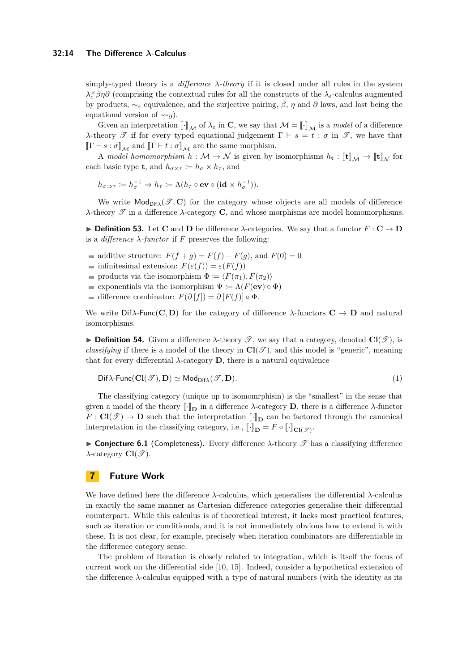simply-typed theory is a *difference λ-theory* if it is closed under all rules in the system *λ*<sup> $\times$ </sup> *βη∂* (comprising the contextual rules for all the constructs of the  $\lambda$ <sup>*ε*</sup>-calculus augmented by products,  $\sim_{\varepsilon}$  equivalence, and the surjective pairing,  $\beta$ ,  $\eta$  and  $\partial$  laws, and last being the equational version of  $\rightsquigarrow_{\partial}$ ).

Given an interpretation  $\llbracket \cdot \rrbracket_M$  of  $\lambda_\varepsilon$  in **C**, we say that  $\mathcal{M} = \llbracket \cdot \rrbracket_M$  is a *model* of a difference *λ*-theory  $\mathscr T$  if for every typed equational judgement  $\Gamma \vdash s = t : \sigma$  in  $\mathscr T$ , we have that  $\llbracket \Gamma \vdash s : \sigma \rrbracket_{\mathcal{M}}$  and  $\llbracket \Gamma \vdash t : \sigma \rrbracket_{\mathcal{M}}$  are the same morphism.

A model homomorphism  $h : \mathcal{M} \to \mathcal{N}$  is given by isomorphisms  $h_t : [\![\mathbf{t}]\!]_{\mathcal{M}} \to [\![\mathbf{t}]\!]_{\mathcal{N}}$  for each basic type **t**, and  $h_{\sigma \times \tau} := h_{\sigma} \times h_{\tau}$ , and

$$
h_{\sigma \Rightarrow \tau} \coloneqq h_{\sigma}^{-1} \Rightarrow h_{\tau} \coloneqq \Lambda(h_{\tau} \circ \mathbf{ev} \circ (\mathbf{id} \times h_{\sigma}^{-1})).
$$

We write  $\text{Mod}_{\text{Dif}\lambda}(\mathscr{T}, \mathbf{C})$  for the category whose objects are all models of difference *λ*-theory T in a difference *λ*-category **C**, and whose morphisms are model homomorphisms.

**► Definition 53.** Let **C** and **D** be difference  $\lambda$ -categories. We say that a functor  $F: \mathbf{C} \to \mathbf{D}$ is a *difference*  $\lambda$ -*functor* if *F* preserves the following:

- additive structure:  $F(f+g) = F(f) + F(g)$ , and  $F(0) = 0$
- infinitesimal extension:  $F(\varepsilon(f)) = \varepsilon(F(f))$
- products via the isomorphism  $\Phi := \langle F(\pi_1), F(\pi_2) \rangle$
- exponentials via the isomorphism  $\Psi := \Lambda(F(\mathbf{ev}) \circ \Phi)$
- difference combinator:  $F(\partial [f]) = \partial [F(f)] \circ \Phi$ .

We write  $\text{Diff}\lambda\text{-Func}(\mathbf{C}, \mathbf{D})$  for the category of difference  $\lambda\text{-functors} \mathbf{C} \to \mathbf{D}$  and natural isomorphisms.

**Definition 54.** Given a difference  $\lambda$ -theory  $\mathscr{T}$ , we say that a category, denoted  $\text{Cl}(\mathscr{T})$ , is *classifying* if there is a model of the theory in  $Cl(\mathcal{T})$ , and this model is "generic", meaning that for every differential  $\lambda$ -category **D**, there is a natural equivalence

<span id="page-13-0"></span>
$$
\mathsf{Dif}\lambda\text{-}\mathsf{Func}(\mathbf{Cl}(\mathscr{T}),\mathbf{D})\simeq\mathsf{Mod}_{\mathsf{Dif}\lambda}(\mathscr{T},\mathbf{D}).\tag{1}
$$

The classifying category (unique up to isomomrphism) is the "smallest" in the sense that given a model of the theory  $\llbracket \cdot \rrbracket_{\mathbf{D}}$  in a difference  $\lambda$ -category  $\mathbf{D}$ , there is a difference  $\lambda$ -functor  $F: Cl(\mathscr{T}) \to \mathbf{D}$  such that the interpretation  $\llbracket \cdot \rrbracket_{\mathbf{D}}$  can be factored through the canonical interpretation in the classifying category, i.e.,  $\llbracket \cdot \rrbracket_{\mathbf{D}} = F \circ \llbracket \cdot \rrbracket_{\mathbf{Cl}(\mathscr{T})}$ .

**Conjecture 6.1** (Completeness). Every difference  $\lambda$ -theory  $\mathscr T$  has a classifying difference  $\lambda$ -category  $Cl(\mathscr{T})$ .

# **7 Future Work**

We have defined here the difference *λ*-calculus, which generalises the differential *λ*-calculus in exactly the same manner as Cartesian difference categories generalise their differential counterpart. While this calculus is of theoretical interest, it lacks most practical features, such as iteration or conditionals, and it is not immediately obvious how to extend it with these. It is not clear, for example, precisely when iteration combinators are differentiable in the difference category sense.

The problem of iteration is closely related to integration, which is itself the focus of current work on the differential side [\[10,](#page-15-9) [15\]](#page-15-10). Indeed, consider a hypothetical extension of the difference  $\lambda$ -calculus equipped with a type of natural numbers (with the identity as its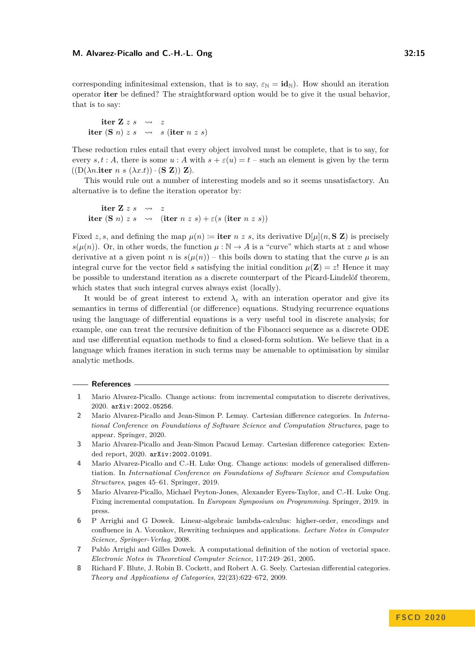corresponding infinitesimal extension, that is to say,  $\varepsilon_N = \mathbf{id}_N$ ). How should an iteration operator **iter** be defined? The straightforward option would be to give it the usual behavior, that is to say:

**iter**  $\mathbf{Z} \times s \longrightarrow z$ **iter** (**S** *n*) *z s*  $\rightsquigarrow$  *s* (**iter** *n z s*)

These reduction rules entail that every object involved must be complete, that is to say, for every *s, t* : *A*, there is some  $u : A$  with  $s + \varepsilon(u) = t$  – such an element is given by the term  $((D(\lambda n. \textbf{iter} n s (\lambda x. t)) \cdot (\mathbf{S} \mathbf{Z})) \mathbf{Z}).$ 

This would rule out a number of interesting models and so it seems unsatisfactory. An alternative is to define the iteration operator by:

\n
$$
\text{iter } \mathbf{Z} \, z \, s \quad \leadsto \quad z
$$
\n

\n\n $\text{iter } (\mathbf{S} \, n) \, z \, s \quad \leadsto \quad (\text{iter } n \, z \, s) + \varepsilon (s \, (\text{iter } n \, z \, s))$ \n

Fixed *z*, *s*, and defining the map  $\mu(n) :=$  **iter** *n z s*, its derivative  $D[\mu](n, S Z)$  is precisely  $s(\mu(n))$ . Or, in other words, the function  $\mu : \mathbb{N} \to A$  is a "curve" which starts at *z* and whose derivative at a given point *n* is  $s(\mu(n))$  – this boils down to stating that the curve  $\mu$  is an integral curve for the vector field *s* satisfying the initial condition  $\mu(\mathbf{Z}) = z!$ . Hence it may be possible to understand iteration as a discrete counterpart of the Picard-Lindelöf theorem, which states that such integral curves always exist (locally).

It would be of great interest to extend  $\lambda_{\varepsilon}$  with an interation operator and give its semantics in terms of differential (or difference) equations. Studying recurrence equations using the language of differential equations is a very useful tool in discrete analysis; for example, one can treat the recursive definition of the Fibonacci sequence as a discrete ODE and use differential equation methods to find a closed-form solution. We believe that in a language which frames iteration in such terms may be amenable to optimisation by similar analytic methods.

#### **References**

- <span id="page-14-4"></span>**1** Mario Alvarez-Picallo. Change actions: from incremental computation to discrete derivatives, 2020. [arXiv:2002.05256](http://arxiv.org/abs/2002.05256).
- <span id="page-14-2"></span>**2** Mario Alvarez-Picallo and Jean-Simon P. Lemay. Cartesian difference categories. In *International Conference on Foundations of Software Science and Computation Structures*, page to appear. Springer, 2020.
- <span id="page-14-5"></span>**3** Mario Alvarez-Picallo and Jean-Simon Pacaud Lemay. Cartesian difference categories: Extended report, 2020. [arXiv:2002.01091](http://arxiv.org/abs/2002.01091).
- <span id="page-14-1"></span>**4** Mario Alvarez-Picallo and C.-H. Luke Ong. Change actions: models of generalised differentiation. In *International Conference on Foundations of Software Science and Computation Structures*, pages 45–61. Springer, 2019.
- <span id="page-14-0"></span>**5** Mario Alvarez-Picallo, Michael Peyton-Jones, Alexander Eyers-Taylor, and C.-H. Luke Ong. Fixing incremental computation. In *European Symposium on Programming*. Springer, 2019. in press.
- <span id="page-14-7"></span>**6** P Arrighi and G Dowek. Linear-algebraic lambda-calculus: higher-order, encodings and confluence in A. Voronkov, Rewriting techniques and applications. *Lecture Notes in Computer Science, Springer-Verlag*, 2008.
- <span id="page-14-6"></span>**7** Pablo Arrighi and Gilles Dowek. A computational definition of the notion of vectorial space. *Electronic Notes in Theoretical Computer Science*, 117:249–261, 2005.
- <span id="page-14-3"></span>**8** Richard F. Blute, J. Robin B. Cockett, and Robert A. G. Seely. Cartesian differential categories. *Theory and Applications of Categories*, 22(23):622–672, 2009.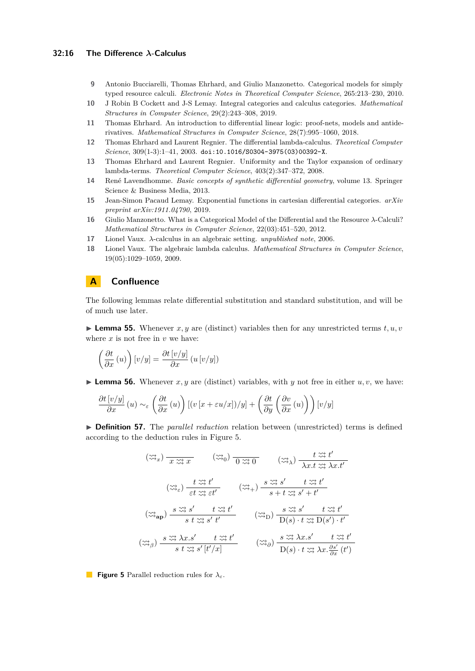## **32:16 The Difference** *λ***-Calculus**

- <span id="page-15-3"></span>**9** Antonio Bucciarelli, Thomas Ehrhard, and Giulio Manzonetto. Categorical models for simply typed resource calculi. *Electronic Notes in Theoretical Computer Science*, 265:213–230, 2010.
- <span id="page-15-9"></span>**10** J Robin B Cockett and J-S Lemay. Integral categories and calculus categories. *Mathematical Structures in Computer Science*, 29(2):243–308, 2019.
- <span id="page-15-2"></span>**11** Thomas Ehrhard. An introduction to differential linear logic: proof-nets, models and antiderivatives. *Mathematical Structures in Computer Science*, 28(7):995–1060, 2018.
- <span id="page-15-7"></span>**12** Thomas Ehrhard and Laurent Regnier. The differential lambda-calculus. *Theoretical Computer Science*, 309(1-3):1–41, 2003. [doi:10.1016/S0304-3975\(03\)00392-X](https://doi.org/10.1016/S0304-3975(03)00392-X).
- <span id="page-15-1"></span>**13** Thomas Ehrhard and Laurent Regnier. Uniformity and the Taylor expansion of ordinary lambda-terms. *Theoretical Computer Science*, 403(2):347–372, 2008.
- <span id="page-15-0"></span>**14** René Lavendhomme. *Basic concepts of synthetic differential geometry*, volume 13. Springer Science & Business Media, 2013.
- <span id="page-15-10"></span>**15** Jean-Simon Pacaud Lemay. Exponential functions in cartesian differential categories. *arXiv preprint arXiv:1911.04790*, 2019.
- <span id="page-15-4"></span>**16** Giulio Manzonetto. What is a Categorical Model of the Differential and the Resource *λ*-Calculi? *Mathematical Structures in Computer Science*, 22(03):451–520, 2012.
- <span id="page-15-5"></span>**17** Lionel Vaux. *λ*-calculus in an algebraic setting. *unpublished note*, 2006.
- <span id="page-15-6"></span>**18** Lionel Vaux. The algebraic lambda calculus. *Mathematical Structures in Computer Science*, 19(05):1029–1059, 2009.

# <span id="page-15-8"></span>**A Confluence**

The following lemmas relate differential substitution and standard substitution, and will be of much use later.

**Lemma 55.** Whenever  $x, y$  are (distinct) variables then for any unrestricted terms  $t, u, v$ where  $x$  is not free in  $v$  we have:

$$
\left(\frac{\partial t}{\partial x} \left(u\right)\right) \left[v/y\right] = \frac{\partial t \left[v/y\right]}{\partial x} \left(u \left[v/y\right]\right)
$$

**Lemma 56.** Whenever  $x, y$  are (distinct) variables, with  $y$  not free in either  $u, v$ , we have:

$$
\frac{\partial t\left[v/y\right]}{\partial x}\left(u\right) \sim_{\varepsilon} \left(\frac{\partial t}{\partial x}\left(u\right)\right)\left[\left(v\left[x+\varepsilon u/x\right]\right)/y\right] + \left(\frac{\partial t}{\partial y}\left(\frac{\partial v}{\partial x}\left(u\right)\right)\right)\left[v/y\right]
$$

<span id="page-15-11"></span>▶ **Definition 57.** The *parallel reduction* relation between (unrestricted) terms is defined according to the deduction rules in Figure [5.](#page-15-11)

$$
(\widetilde{\omega}_{x}) \frac{1}{x \widetilde{\omega}_{x}^{2}} \widetilde{x} \widetilde{x} \widetilde{x} \widetilde{x} \widetilde{x} \widetilde{x} \widetilde{x} \widetilde{x} \widetilde{x} t' \widetilde{x} \widetilde{x} t' \widetilde{x} \widetilde{x} t' \widetilde{x} \widetilde{x} t' \widetilde{x} \widetilde{x} t' \widetilde{x} \widetilde{x} t' \widetilde{x} \widetilde{x} t' \widetilde{x} \widetilde{x} t' \widetilde{x} \widetilde{x} t' \widetilde{x} \widetilde{x} t' \widetilde{x} \widetilde{x} t' \widetilde{x} \widetilde{x} t' \widetilde{x} \widetilde{x} t' \widetilde{x} \widetilde{x} t' \widetilde{x} \widetilde{x} t' \widetilde{x} \widetilde{x} t' \widetilde{x} \widetilde{x} t' \widetilde{x} \widetilde{x} t' \widetilde{x} \widetilde{x} t' \widetilde{x} \widetilde{x} t' \widetilde{x} \widetilde{x} t' \widetilde{x} \widetilde{x} t' \widetilde{x} \widetilde{x} t' \widetilde{x} \widetilde{x} t' \widetilde{x} \widetilde{x} t' \widetilde{x} \widetilde{x} t' \widetilde{x} \widetilde{x} t' \widetilde{x} \widetilde{x} \widetilde{x} t' \widetilde{x} \widetilde{x} \widetilde{x} t' \widetilde{x} \widetilde{x} \widetilde{x} t' \widetilde{x} \widetilde{x} \widetilde{x} t' \widetilde{x} \widetilde{x} \widetilde{x} \widetilde{x} t' \widetilde{x} \widetilde{x} \widetilde{x} \widetilde{x} t' \widetilde{x} \widetilde{x} \widetilde{x} t' \widetilde{x} \widetilde{x} \widetilde{x} t' \widetilde{x} \widetilde{x} \widetilde{x} t' \widetilde{x} \widetilde{x} \widetilde{x} t' \widetilde{x} \widetilde{x} \widetilde{x} t' \widetilde{x} \widetilde{x} \widetilde{x} t' \widetilde{x} \widetilde{x} \widetilde{x} t' \widetilde{x} \widetilde{x} t' \widetilde{x} \widetilde{x} \widetilde{x} t' \widetilde{x}
$$

**Figure 5** Parallel reduction rules for *λε*.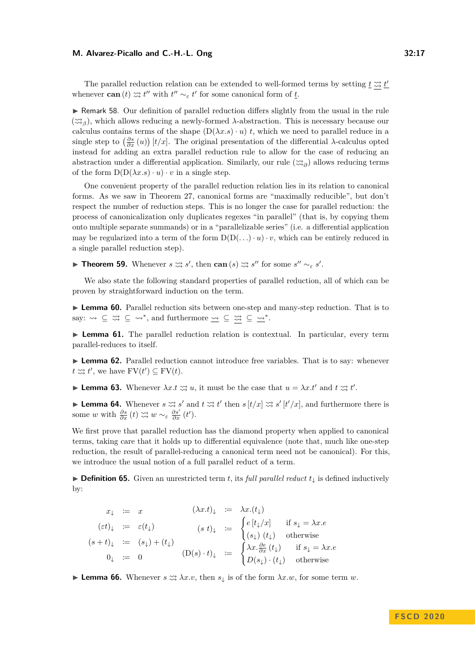The parallel reduction relation can be extended to well-formed terms by setting  $\underline{t} \stackrel{\sim}{\approx} \underline{t}'$ whenever **can** (*t*)  $\approx$  *t*" with  $t'' \sim_{\varepsilon} t'$  for some canonical form of <u>*t*</u>.

 $\triangleright$  Remark 58. Our definition of parallel reduction differs slightly from the usual in the rule ( *<sup>β</sup>* ), which allows reducing a newly-formed *λ*-abstraction. This is necessary because our calculus contains terms of the shape  $(D(\lambda x.s) \cdot u)$  *t*, which we need to parallel reduce in a single step to  $\left(\frac{\partial s}{\partial x}(u)\right)[t/x]$ . The original presentation of the differential *λ*-calculus opted instead for adding an extra parallel reduction rule to allow for the case of reducing an abstraction under a differential application. Similarly, our rule  $(\gg_{\partial})$  allows reducing terms of the form  $D(D(\lambda x.s) \cdot u) \cdot v$  in a single step.

One convenient property of the parallel reduction relation lies in its relation to canonical forms. As we saw in Theorem [27,](#page-9-0) canonical forms are "maximally reducible", but don't respect the number of reduction steps. This is no longer the case for parallel reduction: the process of canonicalization only duplicates regexes "in parallel" (that is, by copying them onto multiple separate summands) or in a "parallelizable series" (i.e. a differential application may be regularized into a term of the form  $D(D(\ldots) \cdot u) \cdot v$ , which can be entirely reduced in a single parallel reduction step).

**Fine Theorem 59.** Whenever  $s \ncong s'$ , then  $\operatorname{can}(s) \ncong s''$  for some  $s'' \sim_{\varepsilon} s'$ .

We also state the following standard properties of parallel reduction, all of which can be proven by straightforward induction on the term.

**Lemma 60.** Parallel reduction sits between one-step and many-step reduction. That is to say:  $\rightsquigarrow \subseteq \stackrel{\sim}{\approx} \subseteq \rightsquigarrow^*$ , and furthermore  $\underline{\rightsquigarrow} \subseteq \stackrel{\sim}{\approx} \subseteq \stackrel{\sim}{\rightsquigarrow^*}$ .

**Lemma 61.** The parallel reduction relation is contextual. In particular, every term parallel-reduces to itself.

**Lemma 62.** Parallel reduction cannot introduce free variables. That is to say: whenever  $t \nleftrightarrow t'$ , we have  $\text{FV}(t') \subseteq \text{FV}(t)$ .

**Lemma 63.** Whenever  $\lambda x. t \approx u$ , it must be the case that  $u = \lambda x. t'$  and  $t \approx t'$ .

**Lemma 64.** Whenever  $s \approx s'$  and  $t \approx t'$  then  $s[t/x] \approx s'[t'/x]$ , and furthermore there is some *w* with  $\frac{\partial s}{\partial x}(t) \n\approx w \sim_{\varepsilon} \frac{\partial s'}{\partial x}(t').$ 

We first prove that parallel reduction has the diamond property when applied to canonical terms, taking care that it holds up to differential equivalence (note that, much like one-step reduction, the result of parallel-reducing a canonical term need not be canonical). For this, we introduce the usual notion of a full parallel reduct of a term.

I **Definition 65.** Given an unrestricted term *t*, its *full parallel reduct t*<sup>↓</sup> is defined inductively by:

$$
x_{\downarrow} := x \qquad (\lambda x.t)_{\downarrow} := \lambda x.(t_{\downarrow})
$$
  
\n
$$
(et)_{\downarrow} := \varepsilon(t_{\downarrow}) \qquad (s t)_{\downarrow} := \begin{cases} e[t_{\downarrow}/x] & \text{if } s_{\downarrow} = \lambda x.e \\ (s_{\downarrow}) (t_{\downarrow}) & \text{otherwise} \end{cases}
$$
  
\n
$$
(s + t)_{\downarrow} := (s_{\downarrow}) + (t_{\downarrow}) \qquad (D(s) \cdot t)_{\downarrow} := \begin{cases} \lambda x. \frac{\partial e}{\partial x} (t_{\downarrow}) & \text{if } s_{\downarrow} = \lambda x.e \\ D(s_{\downarrow}) \cdot (t_{\downarrow}) & \text{otherwise} \end{cases}
$$

**Lemma 66.** Whenever  $s \n\approx \lambda x.v$ , then  $s_{\downarrow}$  is of the form  $\lambda x.w$ , for some term *w*.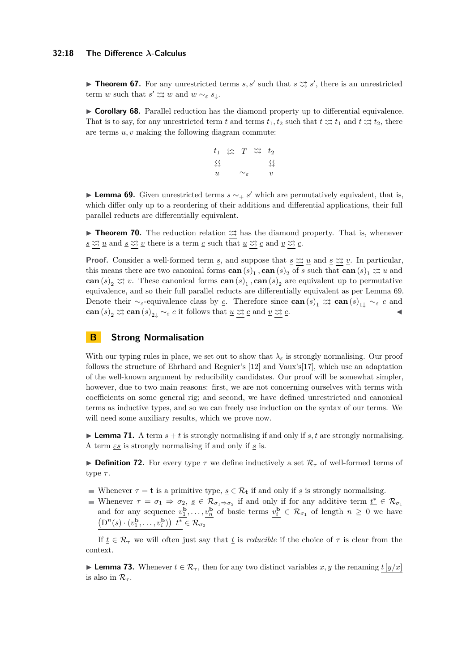#### **32:18 The Difference** *λ***-Calculus**

**Theorem 67.** For any unrestricted terms *s*, *s'* such that  $s \approx s'$ , there is an unrestricted term *w* such that  $s' \n\approx w$  and  $w \sim_{\varepsilon} s_{\downarrow}$ .

► **Corollary 68.** Parallel reduction has the diamond property up to differential equivalence. That is to say, for any unrestricted term *t* and terms  $t_1, t_2$  such that  $t \approx t_1$  and  $t \approx t_2$ , there are terms *u, v* making the following diagram commute:



<span id="page-17-1"></span>**Lemma 69.** Given unrestricted terms  $s \sim_+ s'$  which are permutatively equivalent, that is, which differ only up to a reordering of their additions and differential applications, their full parallel reducts are differentially equivalent.

**Findmer 70.** The reduction relation  $\approx$  has the diamond property. That is, whenever  $\underline{s} \n\times \underline{y}$  and  $\underline{s} \n\times \underline{y}$  there is a term  $\underline{c}$  such that  $\underline{u} \n\times \underline{z}$  and  $\underline{v} \n\times \underline{z}$ .

**Proof.** Consider a well-formed term <u>*s*</u>, and suppose that  $\underline{s} \nleftrightarrow \underline{u}$  and  $\underline{s} \nleftrightarrow \underline{v}$ . In particular, this means there are two canonical forms  $\mathbf{can}(s)$ <sub>1</sub>,  $\mathbf{can}(s)$ <sub>2</sub> of *s* such that  $\mathbf{can}(s)$ <sub>1</sub>  $\approx$ <sub>2</sub> u and **can**  $(s)_2 \n\approx v$ . These canonical forms **can**  $(s)_1$ , **can**  $(s)_2$  are equivalent up to permutative equivalence, and so their full parallel reducts are differentially equivalent as per Lemma [69.](#page-17-1) Denote their  $\sim_{\varepsilon}$ -equivalence class by *c*. Therefore since  $\operatorname{can}(s)_1 \nrightarrow \infty$   $\operatorname{can}(s)_{1\downarrow} \sim_{\varepsilon} c$  and **can**  $(s)_2 \approx \text{can } (s)_{2\downarrow} \sim_{\varepsilon} c$  it follows that  $\underline{u} \approx \underline{c}$  and  $\underline{v} \approx \underline{c}$ .

# <span id="page-17-0"></span>**B Strong Normalisation**

With our typing rules in place, we set out to show that  $\lambda_{\varepsilon}$  is strongly normalising. Our proof follows the structure of Ehrhard and Regnier's [\[12\]](#page-15-7) and Vaux's[\[17\]](#page-15-5), which use an adaptation of the well-known argument by reducibility candidates. Our proof will be somewhat simpler, however, due to two main reasons: first, we are not concerning ourselves with terms with coefficients on some general rig; and second, we have defined unrestricted and canonical terms as inductive types, and so we can freely use induction on the syntax of our terms. We will need some auxiliary results, which we prove now.

**Lemma 71.** A term  $s + t$  is strongly normalising if and only if  $s, t$  are strongly normalising. A term  $\underline{\varepsilon s}$  is strongly normalising if and only if  $\underline{s}$  is.

**Definition 72.** For every type  $\tau$  we define inductively a set  $\mathcal{R}_{\tau}$  of well-formed terms of type *τ* .

- Whenever  $\tau = \mathbf{t}$  is a primitive type,  $s \in \mathcal{R}_{\mathbf{t}}$  if and only if s is strongly normalising.
- Whenever  $\tau = \sigma_1 \Rightarrow \sigma_2$ ,  $s \in \mathcal{R}_{\sigma_1 \Rightarrow \sigma_2}$  if and only if for any additive term  $t^* \in \mathcal{R}_{\sigma_1}$ and for any sequence  $v_1^{\mathbf{b}}, \ldots, v_n^{\mathbf{b}}$  of basic terms  $v_i^{\mathbf{b}} \in \mathcal{R}_{\sigma_1}$  of length  $n \geq 0$  we have  $(D^n(s) \cdot (v_1^{\mathbf{b}}, \ldots, v_i^{\mathbf{b}})) \ \ t^* \in \mathcal{R}_{\sigma_2}$

If  $\underline{t} \in \mathcal{R}_{\tau}$  we will often just say that  $\underline{t}$  is *reducible* if the choice of  $\tau$  is clear from the context.

**Lemma 73.** Whenever  $t \in \mathcal{R}_{\tau}$ , then for any two distinct variables x, y the renaming  $t[y/x]$ is also in  $\mathcal{R}_{\tau}$ .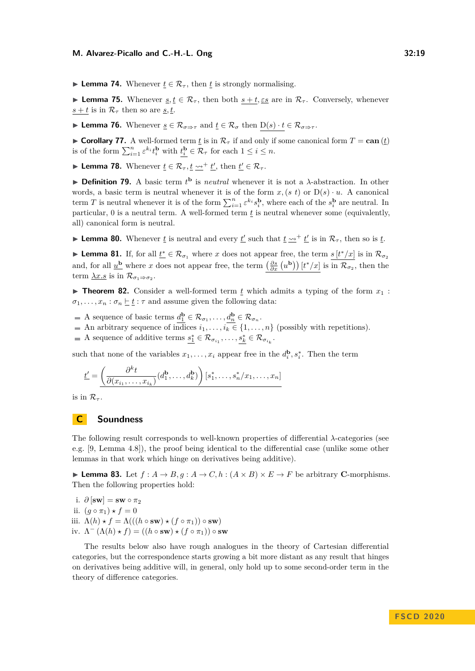**Lemma 74.** Whenever  $t \in \mathcal{R}_{\tau}$ , then *t* is strongly normalising.

**► Lemma 75.** Whenever  $s, t \in \mathcal{R}_{\tau}$ , then both  $s + t, \varepsilon s$  are in  $\mathcal{R}_{\tau}$ . Conversely, whenever  $s + t$  is in  $\mathcal{R}_{\tau}$  then so are *s*, *t*.

**► Lemma 76.** Whenever <u>*s*</u> ∈  $\mathcal{R}_{\sigma \Rightarrow \tau}$  and  $\underline{t}$  ∈  $\mathcal{R}_{\sigma}$  then D(*s*) · *t* ∈  $\mathcal{R}_{\sigma \Rightarrow \tau}$ .

► Corollary 77. A well-formed term  $\underline{t}$  is in  $\mathcal{R}_{\tau}$  if and only if some canonical form  $T = \text{can}(\underline{t})$ is of the form  $\sum_{i=1}^{n} \varepsilon^{k_i} t_i^{\mathbf{b}}$  with  $\underline{t_i^{\mathbf{b}}} \in \mathcal{R}_{\tau}$  for each  $1 \leq i \leq n$ .

► Lemma 78. Whenever  $\underline{t} \in \mathcal{R}_{\tau}, \underline{t} \rightarrow^+ \underline{t}',$  then  $\underline{t}' \in \mathcal{R}_{\tau}.$ 

**Definition 79.** A basic term  $t^{\mathbf{b}}$  is *neutral* whenever it is not a  $\lambda$ -abstraction. In other words, a basic term is neutral whenever it is of the form  $x$ ,  $(s t)$  or  $D(s) \cdot u$ . A canonical term *T* is neutral whenever it is of the form  $\sum_{i=1}^{n} \varepsilon^{k_i} s_i^{\mathbf{b}}$ , where each of the  $s_i^{\mathbf{b}}$  are neutral. In particular, 0 is a neutral term. A well-formed term *t* is neutral whenever some (equivalently, all) canonical form is neutral.

**Lemma 80.** Whenever  $\underline{t}$  is neutral and every  $\underline{t}$  such that  $\underline{t} \rightarrow \underline{t}$  is in  $\mathcal{R}_{\tau}$ , then so is  $\underline{t}$ .

**Lemma 81.** If, for all  $\underline{t}^* \in \mathcal{R}_{\sigma_1}$  where *x* does not appear free, the term  $s[t^*/x]$  is in  $\mathcal{R}_{\sigma_2}$ and, for all  $\underline{u}^{\mathbf{b}}$  where *x* does not appear free, the term  $\left(\frac{\partial s}{\partial x}(u^{\mathbf{b}})\right)[t^*/x]$  is in  $\mathcal{R}_{\sigma_2}$ , then the term <u> $\lambda x.s$ </u> is in  $\mathcal{R}_{\sigma_1 \Rightarrow \sigma_2}$ .

**Theorem 82.** Consider a well-formed term  $\underline{t}$  which admits a typing of the form  $x_1$ :  $\sigma_1, \ldots, x_n : \sigma_n \models t : \tau$  and assume given the following data:

- A sequence of basic terms  $d_1^{\mathbf{b}} \in \mathcal{R}_{\sigma_1}, \ldots, d_n^{\mathbf{b}} \in \mathcal{R}_{\sigma_n}$ .
- An arbitrary sequence of indices  $i_1, \ldots, i_k \in \{1, \ldots, n\}$  (possibly with repetitions).
- A sequence of additive terms  $\underline{s_1^*} \in \mathcal{R}_{\sigma_{i_1}}, \ldots, \underline{s_k^*} \in \mathcal{R}_{\sigma_{i_k}}$ .

such that none of the variables  $x_1, \ldots, x_i$  appear free in the  $d_i^{\mathbf{b}}, s_i^*$ . Then the term

$$
\underline{t'} = \underbrace{\left(\frac{\partial^k t}{\partial (x_{i_1}, \dots, x_{i_k})} (d_1^{\mathbf{b}}, \dots, d_k^{\mathbf{b}})\right) [s_1^*, \dots, s_n^*/x_1, \dots, x_n]}
$$

is in  $\mathcal{R}_{\tau}$ .

# <span id="page-18-0"></span>**C Soundness**

The following result corresponds to well-known properties of differential *λ*-categories (see e.g. [\[9,](#page-15-3) Lemma 4.8]), the proof being identical to the differential case (unlike some other lemmas in that work which hinge on derivatives being additive).

**Lemma 83.** Let  $f : A \to B$ ,  $g : A \to C$ ,  $h : (A \times B) \times E \to F$  be arbitrary **C**-morphisms. Then the following properties hold:

i.  $\partial$  [**sw**] = **sw**  $\circ \pi_2$ 

- ii.  $(g \circ \pi_1) \star f = 0$
- iii.  $\Lambda(h) \star f = \Lambda(((h \circ sw) \star (f \circ \pi_1)) \circ sw)$
- iv.  $\Lambda^{-} (\Lambda(h) \star f) = ((h \circ sw) \star (f \circ \pi_1)) \circ sw$

The results below also have rough analogues in the theory of Cartesian differential categories, but the correspondence starts growing a bit more distant as any result that hinges on derivatives being additive will, in general, only hold up to some second-order term in the theory of difference categories.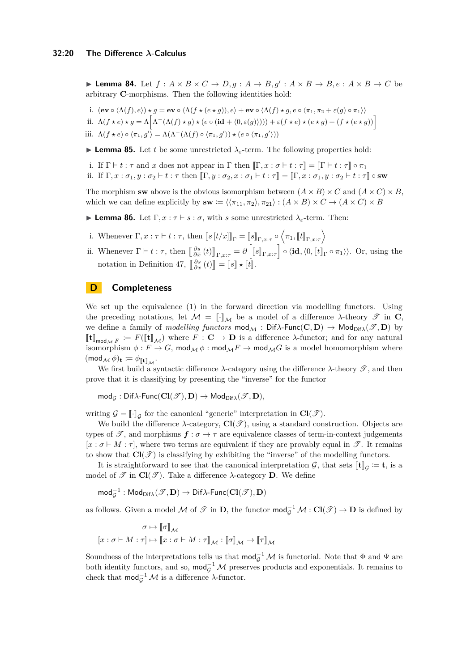**I Lemma 84.** Let  $f : A \times B \times C \to D, g : A \to B, g' : A \times B \to B, e : A \times B \to C$  be arbitrary **C**-morphisms. Then the following identities hold:

i.  $(\mathbf{ev} \circ \langle \Lambda(f), e \rangle) \star g = \mathbf{ev} \circ \langle \Lambda(f \star (e \star g)), e \rangle + \mathbf{ev} \circ \langle \Lambda(f) \star g, e \circ \langle \pi_1, \pi_2 + \varepsilon(g) \circ \pi_1 \rangle \rangle$ ii.  $\Lambda(f \star e) \star g = \Lambda \left[ \Lambda^-(\Lambda(f) \star g) \star (e \circ (\mathbf{id} + \langle 0, \varepsilon(g) \rangle))) + \varepsilon(f \star e) \star (e \star g) + (f \star (e \star g)) \right]$ iii.  $\Lambda(f \star e) \circ \langle \pi_1, g' \rangle = \Lambda(\Lambda^-(\Lambda(f) \circ \langle \pi_1, g' \rangle) \star (e \circ \langle \pi_1, g' \rangle))$ 

**Lemma 85.** Let *t* be some unrestricted  $\lambda$ <sub>*ε*</sub>-term. The following properties hold:

i. If  $\Gamma \vdash t : \tau$  and *x* does not appear in  $\Gamma$  then  $\llbracket \Gamma, x : \sigma \vdash t : \tau \rrbracket = \llbracket \Gamma \vdash t : \tau \rrbracket \circ \pi_1$ ii. If  $\Gamma, x : \sigma_1, y : \sigma_2 \vdash t : \tau$  then  $\lbrack \Gamma, y : \sigma_2, x : \sigma_1 \vdash t : \tau \rbrack = \lbrack \Gamma, x : \sigma_1, y : \sigma_2 \vdash t : \tau \rbrack$  osw

The morphism **sw** above is the obvious isomorphism between  $(A \times B) \times C$  and  $(A \times C) \times B$ , which we can define explicitly by  $\mathbf{sw} := \langle \langle \pi_{11}, \pi_2 \rangle, \pi_{21} \rangle : (A \times B) \times C \rightarrow (A \times C) \times B$ 

**Lemma 86.** Let  $\Gamma, x : \tau \vdash s : \sigma$ , with *s* some unrestricted  $\lambda_{\varepsilon}$ -term. Then:

- i. Whenever  $\Gamma, x : \tau \vdash t : \tau$ , then  $\llbracket s \left[ t/x \right] \rrbracket_{\Gamma} = \llbracket s \rrbracket_{\Gamma,x : \tau} \circ \left\langle \pi_1, \llbracket t \rrbracket_{\Gamma,x : \tau} \right\rangle$
- ii. Whenever  $\Gamma \vdash t : \tau$ , then  $\left[\begin{bmatrix} \frac{\partial s}{\partial x}(t) \end{bmatrix}_{\Gamma,x:\tau} = \partial \left[\llbracket s \rrbracket_{\Gamma,x:\tau}\right] \circ \langle \mathbf{id}, \langle 0, \llbracket t \rrbracket_{\Gamma} \circ \pi_1 \rangle \rangle$ . Or, using the notation in Definition [47,](#page-12-1)  $\left[\frac{\partial s}{\partial x}(t)\right] = \llbracket s \rrbracket \star \llbracket t \rrbracket$ .

## **D Completeness**

We set up the equivalence [\(1\)](#page-13-0) in the forward direction via modelling functors. Using the preceding notations, let  $M = \llbracket \cdot \rrbracket_M$  be a model of a difference *λ*-theory  $\mathscr T$  in **C**, we define a family of *modelling functors*  $\text{mod}_{\mathcal{M}}$ :  $\text{Dif}\lambda\text{-}\text{Func}(\mathbf{C}, \mathbf{D}) \rightarrow \text{Mod}_{\text{Dif}\lambda}(\mathscr{T}, \mathbf{D})$  by  $[\![\mathbf{t}]\!]_{\text{mod}_{\mathcal{M}} F} := F([\![\mathbf{t}]\!]_{\mathcal{M}})$  where  $F : \mathbf{C} \to \mathbf{D}$  is a difference  $\lambda$ -functor; and for any natural isomorphism  $\phi: F \to G$ ,  $\mathsf{mod}_{\mathcal{M}} \phi: \mathsf{mod}_{\mathcal{M}} F \to \mathsf{mod}_{\mathcal{M}} G$  is a model homomorphism where  $(\text{mod}_{\mathcal{M}} \phi)_{\mathbf{t}} \coloneqq \phi_{\llbracket \mathbf{t} \rrbracket_{\mathcal{M}}}.$ 

We first build a syntactic difference  $\lambda$ -category using the difference  $\lambda$ -theory  $\mathscr{T}$ , and then prove that it is classifying by presenting the "inverse" for the functor

 $\text{mod}_{\mathcal{G}} : \text{Diff}\lambda\text{-}\text{Func}(\text{Cl}(\mathscr{T}), \textbf{D}) \to \text{Mod}_{\text{Diff}\lambda}(\mathscr{T}, \textbf{D}),$ 

writing  $\mathcal{G} = \llbracket \cdot \rrbracket_{\mathcal{G}}$  for the canonical "generic" interpretation in  $\mathbf{Cl}(\mathcal{F})$ .

We build the difference  $\lambda$ -category,  $\text{Cl}(\mathcal{T})$ , using a standard construction. Objects are types of  $\mathscr{T}$ , and morphisms  $f : \sigma \to \tau$  are equivalence classes of term-in-context judgements  $[x : \sigma \vdash M : \tau]$ , where two terms are equivalent if they are provably equal in  $\mathscr{T}$ . It remains to show that  $\text{Cl}(\mathcal{T})$  is classifying by exhibiting the "inverse" of the modelling functors.

It is straightforward to see that the canonical interpretation  $\mathcal{G}$ , that sets  $[\![\mathbf{t}]\!]_G := \mathbf{t}$ , is a<br>delete  $G(\mathcal{Z})$ . This is differenced between  $\mathbf{D}$ , We define model of  $\mathscr{T}$  in  $\mathbf{Cl}(\mathscr{T})$ . Take a difference  $\lambda$ -category **D**. We define

 $\mathsf{mod}_{\mathcal{G}}^{-1} : \mathsf{Mod}_{\mathsf{Dif}\lambda}(\mathscr{T},\mathbf{D}) \to \mathsf{Dif}\lambda\text{-}\mathsf{Func}(\mathbf{Cl}(\mathscr{T}),\mathbf{D})$ 

as follows. Given a model  $M$  of  $\mathcal{T}$  in **D**, the functor  $mod_{\mathcal{G}}^{-1}M: Cl(\mathcal{T}) \to \mathbf{D}$  is defined by

$$
\sigma \mapsto \llbracket \sigma \rrbracket_{\mathcal{M}} \qquad \qquad \\ [x:\sigma \vdash M:\tau] \mapsto \llbracket x:\sigma \vdash M:\tau \rrbracket_{\mathcal{M}}: \llbracket \sigma \rrbracket_{\mathcal{M}} \rightarrow \llbracket \tau \rrbracket_{\mathcal{M}}
$$

Soundness of the interpretations tells us that  $mod_{\mathcal{G}}^{-1} \mathcal{M}$  is functorial. Note that  $\Phi$  and  $\Psi$  are both identity functors, and so,  $\text{mod}_{\mathcal{G}}^{-1}$  M preserves products and exponentials. It remains to check that  $\text{mod}_{\mathcal{G}}^{-1} \mathcal{M}$  is a difference  $\lambda$ -functor.